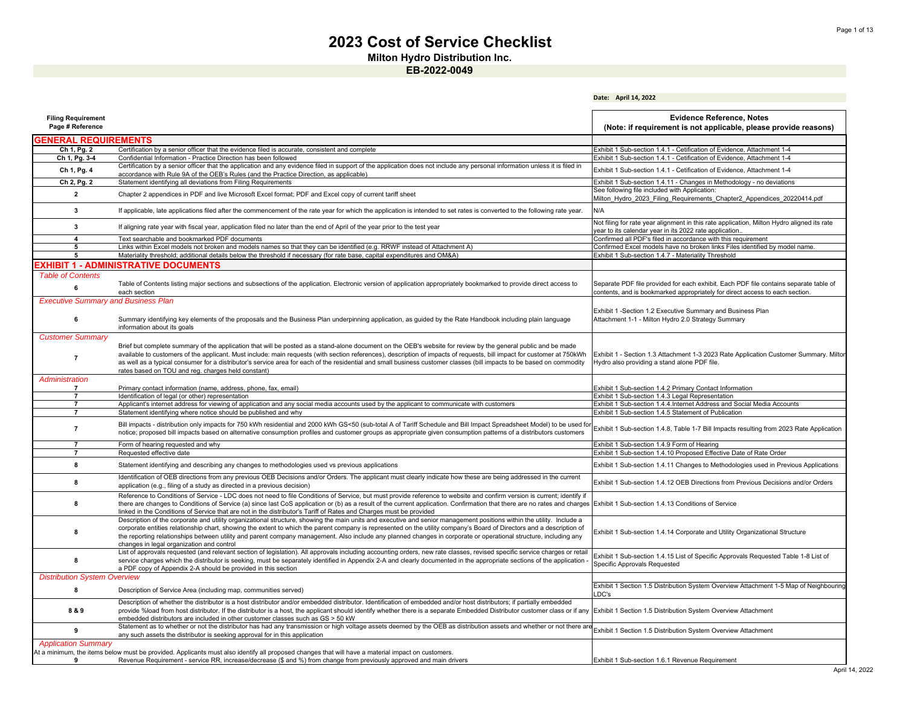**Milton Hydro Distribution Inc.**

**Date: April 14, 2022**

| <b>Filing Requirement</b>                  |                                                                                                                                                                                                                                                                                                                                                                                                                                                                                                                                                                 | <b>Evidence Reference, Notes</b>                                                                                                                                      |
|--------------------------------------------|-----------------------------------------------------------------------------------------------------------------------------------------------------------------------------------------------------------------------------------------------------------------------------------------------------------------------------------------------------------------------------------------------------------------------------------------------------------------------------------------------------------------------------------------------------------------|-----------------------------------------------------------------------------------------------------------------------------------------------------------------------|
| Page # Reference                           |                                                                                                                                                                                                                                                                                                                                                                                                                                                                                                                                                                 | (Note: if requirement is not applicable, please provide reasons)                                                                                                      |
| <b>GENERAL REQUIREMENTS</b>                |                                                                                                                                                                                                                                                                                                                                                                                                                                                                                                                                                                 |                                                                                                                                                                       |
| Ch 1, Pg. 2                                | Certification by a senior officer that the evidence filed is accurate, consistent and complete                                                                                                                                                                                                                                                                                                                                                                                                                                                                  | Exhibit 1 Sub-section 1.4.1 - Cetification of Evidence, Attachment 1-4                                                                                                |
| Ch 1, Pg. 3-4                              | Confidential Information - Practice Direction has been followed                                                                                                                                                                                                                                                                                                                                                                                                                                                                                                 | Exhibit 1 Sub-section 1.4.1 - Cetification of Evidence, Attachment 1-4                                                                                                |
| Ch 1, Pg. 4                                | Certification by a senior officer that the application and any evidence filed in support of the application does not include any personal information unless it is filed in<br>accordance with Rule 9A of the OEB's Rules (and the Practice Direction, as applicable).                                                                                                                                                                                                                                                                                          | Exhibit 1 Sub-section 1.4.1 - Cetification of Evidence, Attachment 1-4                                                                                                |
| Ch 2, Pg. 2                                | Statement identifying all deviations from Filing Requirements                                                                                                                                                                                                                                                                                                                                                                                                                                                                                                   | Exhibit 1 Sub-section 1.4.11 - Changes in Methodology - no deviations                                                                                                 |
| $\overline{2}$                             | Chapter 2 appendices in PDF and live Microsoft Excel format; PDF and Excel copy of current tariff sheet                                                                                                                                                                                                                                                                                                                                                                                                                                                         | See following file included with Application:<br>Milton Hydro 2023 Filing Requirements Chapter2 Appendices 20220414.pdf                                               |
| $\mathbf{3}$                               | If applicable, late applications filed after the commencement of the rate year for which the application is intended to set rates is converted to the following rate year.                                                                                                                                                                                                                                                                                                                                                                                      | N/A                                                                                                                                                                   |
| $\mathbf{3}$                               | If aligning rate year with fiscal year, application filed no later than the end of April of the year prior to the test year                                                                                                                                                                                                                                                                                                                                                                                                                                     | Not filing for rate year alignment in this rate application, Milton Hydro aligned its rate<br>year to its calendar year in its 2022 rate application.                 |
| $\overline{4}$                             | Text searchable and bookmarked PDF documents                                                                                                                                                                                                                                                                                                                                                                                                                                                                                                                    | Confirmed all PDF's filed in accordance with this requirement                                                                                                         |
| 5                                          | Links within Excel models not broken and models names so that they can be identified (e.g. RRWF instead of Attachment A)                                                                                                                                                                                                                                                                                                                                                                                                                                        | Confirmed Excel models have no broken links Files identified by model name.                                                                                           |
| 5                                          | Materiality threshold; additional details below the threshold if necessary (for rate base, capital expenditures and OM&A)                                                                                                                                                                                                                                                                                                                                                                                                                                       | Exhibit 1 Sub-section 1.4.7 - Materiality Threshold                                                                                                                   |
|                                            | <b>EXHIBIT 1 - ADMINISTRATIVE DOCUMENTS</b>                                                                                                                                                                                                                                                                                                                                                                                                                                                                                                                     |                                                                                                                                                                       |
| <b>Table of Contents</b>                   |                                                                                                                                                                                                                                                                                                                                                                                                                                                                                                                                                                 |                                                                                                                                                                       |
| 6                                          | Table of Contents listing major sections and subsections of the application. Electronic version of application appropriately bookmarked to provide direct access to<br>each section                                                                                                                                                                                                                                                                                                                                                                             | Separate PDF file provided for each exhibit. Each PDF file contains separate table of<br>contents, and is bookmarked appropriately for direct access to each section. |
| <b>Executive Summary and Business Plan</b> |                                                                                                                                                                                                                                                                                                                                                                                                                                                                                                                                                                 | Exhibit 1 -Section 1.2 Executive Summary and Business Plan                                                                                                            |
| 6                                          | Summary identifying key elements of the proposals and the Business Plan underpinning application, as guided by the Rate Handbook including plain language<br>information about its goals                                                                                                                                                                                                                                                                                                                                                                        | Attachment 1-1 - Milton Hydro 2.0 Strategy Summary                                                                                                                    |
| <b>Customer Summary</b>                    |                                                                                                                                                                                                                                                                                                                                                                                                                                                                                                                                                                 |                                                                                                                                                                       |
|                                            | Brief but complete summary of the application that will be posted as a stand-alone document on the OEB's website for review by the general public and be made                                                                                                                                                                                                                                                                                                                                                                                                   |                                                                                                                                                                       |
| $\overline{7}$                             | available to customers of the applicant. Must include: main requests (with section references), description of impacts of requests, bill impact for customer at 750kWh                                                                                                                                                                                                                                                                                                                                                                                          | Exhibit 1 - Section 1.3 Attachment 1-3 2023 Rate Application Customer Summary. Miltor                                                                                 |
|                                            | as well as a typical consumer for a distributor's service area for each of the residential and small business customer classes (bill impacts to be based on commodity                                                                                                                                                                                                                                                                                                                                                                                           | Hydro also providing a stand alone PDF file.                                                                                                                          |
| Administration                             | rates based on TOU and reg. charges held constant)                                                                                                                                                                                                                                                                                                                                                                                                                                                                                                              |                                                                                                                                                                       |
| 7                                          | Primary contact information (name, address, phone, fax, email)                                                                                                                                                                                                                                                                                                                                                                                                                                                                                                  | Exhibit 1 Sub-section 1.4.2 Primary Contact Information                                                                                                               |
| $\overline{7}$                             | Identification of legal (or other) representation                                                                                                                                                                                                                                                                                                                                                                                                                                                                                                               | Exhibit 1 Sub-section 1.4.3 Legal Representation                                                                                                                      |
| $\overline{7}$                             | Applicant's internet address for viewing of application and any social media accounts used by the applicant to communicate with customers                                                                                                                                                                                                                                                                                                                                                                                                                       | Exhibit 1 Sub-section 1.4.4.Internet Address and Social Media Accounts                                                                                                |
| $\overline{7}$                             | Statement identifying where notice should be published and why                                                                                                                                                                                                                                                                                                                                                                                                                                                                                                  | Exhibit 1 Sub-section 1.4.5 Statement of Publication                                                                                                                  |
| $\overline{7}$                             | Bill impacts - distribution only impacts for 750 kWh residential and 2000 kWh GS<50 (sub-total A of Tariff Schedule and Bill Impact Spreadsheet Model) to be used fo<br>notice; proposed bill impacts based on alternative consumption profiles and customer groups as appropriate given consumption patterns of a distributors customers                                                                                                                                                                                                                       | Exhibit 1 Sub-section 1.4.8, Table 1-7 Bill Impacts resulting from 2023 Rate Application                                                                              |
|                                            |                                                                                                                                                                                                                                                                                                                                                                                                                                                                                                                                                                 |                                                                                                                                                                       |
| $\overline{7}$                             | Form of hearing requested and why                                                                                                                                                                                                                                                                                                                                                                                                                                                                                                                               | Exhibit 1 Sub-section 1.4.9 Form of Hearing                                                                                                                           |
| $\overline{7}$                             | Requested effective date                                                                                                                                                                                                                                                                                                                                                                                                                                                                                                                                        | Exhibit 1 Sub-section 1.4.10 Proposed Effective Date of Rate Order                                                                                                    |
| 8                                          | Statement identifying and describing any changes to methodologies used vs previous applications                                                                                                                                                                                                                                                                                                                                                                                                                                                                 | Exhibit 1 Sub-section 1.4.11 Changes to Methodologies used in Previous Applications                                                                                   |
| 8                                          | Identification of OEB directions from any previous OEB Decisions and/or Orders. The applicant must clearly indicate how these are being addressed in the current<br>application (e.g., filing of a study as directed in a previous decision)                                                                                                                                                                                                                                                                                                                    | Exhibit 1 Sub-section 1.4.12 OEB Directions from Previous Decisions and/or Orders                                                                                     |
| 8                                          | Reference to Conditions of Service - LDC does not need to file Conditions of Service, but must provide reference to website and confirm version is current; identify if<br>there are changes to Conditions of Service (a) since last CoS application or (b) as a result of the current application. Confirmation that there are no rates and charges<br>linked in the Conditions of Service that are not in the distributor's Tariff of Rates and Charges must be provided                                                                                      | Exhibit 1 Sub-section 1.4.13 Conditions of Service                                                                                                                    |
| 8                                          | Description of the corporate and utility organizational structure, showing the main units and executive and senior management positions within the utility. Include a<br>corporate entities relationship chart, showing the extent to which the parent company is represented on the utility company's Board of Directors and a description of<br>the reporting relationships between utility and parent company management. Also include any planned changes in corporate or operational structure, including any<br>changes in legal organization and control | Exhibit 1 Sub-section 1.4.14 Corporate and Utility Organizational Structure                                                                                           |
| 8                                          | List of approvals requested (and relevant section of legislation). All approvals including accounting orders, new rate classes, revised specific service charges or retai<br>service charges which the distributor is seeking, must be separately identified in Appendix 2-A and clearly documented in the appropriate sections of the application<br>a PDF copy of Appendix 2-A should be provided in this section                                                                                                                                             | Exhibit 1 Sub-section 1.4.15 List of Specific Approvals Requested Table 1-8 List of<br>Specific Approvals Requested                                                   |
| <b>Distribution System Overview</b>        |                                                                                                                                                                                                                                                                                                                                                                                                                                                                                                                                                                 |                                                                                                                                                                       |
| 8                                          | Description of Service Area (including map, communities served)                                                                                                                                                                                                                                                                                                                                                                                                                                                                                                 | Exhibit 1 Section 1.5 Distribution System Overview Attachment 1-5 Map of Neighbouring<br>DC's                                                                         |
| 8 & 9                                      | Description of whether the distributor is a host distributor and/or embedded distributor. Identification of embedded and/or host distributors; if partially embedded<br>provide %load from host distributor. If the distributor is a host, the applicant should identify whether there is a separate Embedded Distributor customer class or if any<br>embedded distributors are included in other customer classes such as GS > 50 kW                                                                                                                           | Exhibit 1 Section 1.5 Distribution System Overview Attachment                                                                                                         |
| 9                                          | Statement as to whether or not the distributor has had any transmission or high voltage assets deemed by the OEB as distribution assets and whether or not there an<br>any such assets the distributor is seeking approval for in this application                                                                                                                                                                                                                                                                                                              | Exhibit 1 Section 1.5 Distribution System Overview Attachment                                                                                                         |
| <b>Application Summary</b>                 |                                                                                                                                                                                                                                                                                                                                                                                                                                                                                                                                                                 |                                                                                                                                                                       |
|                                            | At a minimum, the items below must be provided. Applicants must also identify all proposed changes that will have a material impact on customers.                                                                                                                                                                                                                                                                                                                                                                                                               |                                                                                                                                                                       |
| 9                                          | Revenue Requirement - service RR, increase/decrease (\$ and %) from change from previously approved and main drivers                                                                                                                                                                                                                                                                                                                                                                                                                                            | Exhibit 1 Sub-section 1.6.1 Revenue Requirement                                                                                                                       |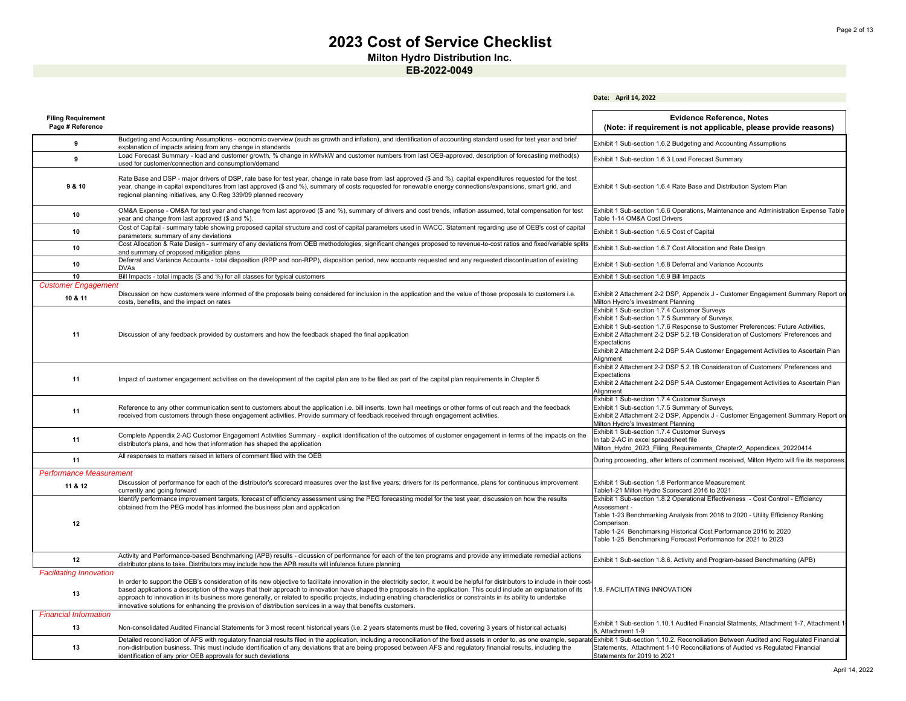**Date: April 14, 2022**

**Milton Hydro Distribution Inc.**

**EB-2022-0049**

| <b>Filing Requirement</b><br>Page # Reference |                                                                                                                                                                                                                                                                                                                                                                                                                                                                                                                                                                                                                                                     | <b>Evidence Reference, Notes</b><br>(Note: if requirement is not applicable, please provide reasons)                                                                                                                                                                                                                                                                                      |
|-----------------------------------------------|-----------------------------------------------------------------------------------------------------------------------------------------------------------------------------------------------------------------------------------------------------------------------------------------------------------------------------------------------------------------------------------------------------------------------------------------------------------------------------------------------------------------------------------------------------------------------------------------------------------------------------------------------------|-------------------------------------------------------------------------------------------------------------------------------------------------------------------------------------------------------------------------------------------------------------------------------------------------------------------------------------------------------------------------------------------|
| 9                                             | Budgeting and Accounting Assumptions - economic overview (such as growth and inflation), and identification of accounting standard used for test year and brief<br>explanation of impacts arising from any change in standards                                                                                                                                                                                                                                                                                                                                                                                                                      | Exhibit 1 Sub-section 1.6.2 Budgeting and Accounting Assumptions                                                                                                                                                                                                                                                                                                                          |
| 9                                             | Load Forecast Summary - load and customer growth, % change in kWh/kW and customer numbers from last OEB-approved, description of forecasting method(s)<br>used for customer/connection and consumption/demand                                                                                                                                                                                                                                                                                                                                                                                                                                       | Exhibit 1 Sub-section 1.6.3 Load Forecast Summary                                                                                                                                                                                                                                                                                                                                         |
| 9 & 10                                        | Rate Base and DSP - major drivers of DSP, rate base for test year, change in rate base from last approved (\$ and %), capital expenditures requested for the test<br>year, change in capital expenditures from last approved (\$ and %), summary of costs requested for renewable energy connections/expansions, smart grid, and<br>regional planning initiatives, any O.Reg 339/09 planned recovery                                                                                                                                                                                                                                                | Exhibit 1 Sub-section 1.6.4 Rate Base and Distribution System Plan                                                                                                                                                                                                                                                                                                                        |
| 10                                            | OM&A Expense - OM&A for test year and change from last approved (\$ and %), summary of drivers and cost trends, inflation assumed, total compensation for test<br>year and change from last approved (\$ and %).                                                                                                                                                                                                                                                                                                                                                                                                                                    | Exhibit 1 Sub-section 1.6.6 Operations, Maintenance and Administration Expense Table<br>Table 1-14 OM&A Cost Drivers                                                                                                                                                                                                                                                                      |
| 10                                            | Cost of Capital - summary table showing proposed capital structure and cost of capital parameters used in WACC. Statement regarding use of OEB's cost of capital<br>parameters; summary of any deviations                                                                                                                                                                                                                                                                                                                                                                                                                                           | Exhibit 1 Sub-section 1.6.5 Cost of Capital                                                                                                                                                                                                                                                                                                                                               |
| 10                                            | Cost Allocation & Rate Design - summary of any deviations from OEB methodologies, significant changes proposed to revenue-to-cost ratios and fixed/variable splits<br>and summary of proposed mitigation plans                                                                                                                                                                                                                                                                                                                                                                                                                                      | Exhibit 1 Sub-section 1.6.7 Cost Allocation and Rate Design                                                                                                                                                                                                                                                                                                                               |
| 10                                            | Deferral and Variance Accounts - total disposition (RPP and non-RPP), disposition period, new accounts requested and any requested discontinuation of existing<br><b>DVAs</b>                                                                                                                                                                                                                                                                                                                                                                                                                                                                       | Exhibit 1 Sub-section 1.6.8 Deferral and Variance Accounts                                                                                                                                                                                                                                                                                                                                |
| 10                                            | Bill Impacts - total impacts (\$ and %) for all classes for typical customers                                                                                                                                                                                                                                                                                                                                                                                                                                                                                                                                                                       | Exhibit 1 Sub-section 1.6.9 Bill Impacts                                                                                                                                                                                                                                                                                                                                                  |
| <b>Customer Engagement</b>                    |                                                                                                                                                                                                                                                                                                                                                                                                                                                                                                                                                                                                                                                     |                                                                                                                                                                                                                                                                                                                                                                                           |
| 10 & 11                                       | Discussion on how customers were informed of the proposals being considered for inclusion in the application and the value of those proposals to customers i.e.<br>costs, benefits, and the impact on rates                                                                                                                                                                                                                                                                                                                                                                                                                                         | Exhibit 2 Attachment 2-2 DSP, Appendix J - Customer Engagement Summary Report on<br>Milton Hydro's Investment Planning                                                                                                                                                                                                                                                                    |
| 11                                            | Discussion of any feedback provided by customers and how the feedback shaped the final application                                                                                                                                                                                                                                                                                                                                                                                                                                                                                                                                                  | Exhibit 1 Sub-section 1.7.4 Customer Surveys<br>Exhibit 1 Sub-section 1.7.5 Summary of Surveys,<br>Exhibit 1 Sub-section 1.7.6 Response to Sustomer Preferences: Future Activities,<br>Exhibit 2 Attachment 2-2 DSP 5.2.1B Consideration of Customers' Preferences and<br>Expectations<br>Exhibit 2 Attachment 2-2 DSP 5.4A Customer Engagement Activities to Ascertain Plan<br>Alianment |
| 11                                            | Impact of customer engagement activities on the development of the capital plan are to be filed as part of the capital plan requirements in Chapter 5                                                                                                                                                                                                                                                                                                                                                                                                                                                                                               | Exhibit 2 Attachment 2-2 DSP 5.2.1B Consideration of Customers' Preferences and<br>Expectations<br>Exhibit 2 Attachment 2-2 DSP 5.4A Customer Engagement Activities to Ascertain Plan<br>Alianment                                                                                                                                                                                        |
| 11                                            | Reference to any other communication sent to customers about the application i.e. bill inserts, town hall meetings or other forms of out reach and the feedback<br>received from customers through these engagement activities. Provide summary of feedback received through engagement activities.                                                                                                                                                                                                                                                                                                                                                 | Exhibit 1 Sub-section 1.7.4 Customer Surveys<br>Exhibit 1 Sub-section 1.7.5 Summary of Surveys,<br>Exhibit 2 Attachment 2-2 DSP, Appendix J - Customer Engagement Summary Report on<br>Milton Hydro's Investment Planning                                                                                                                                                                 |
| 11                                            | Complete Appendix 2-AC Customer Engagement Activities Summary - explicit identification of the outcomes of customer engagement in terms of the impacts on the<br>distributor's plans, and how that information has shaped the application                                                                                                                                                                                                                                                                                                                                                                                                           | Exhibit 1 Sub-section 1.7.4 Customer Surveys<br>In tab 2-AC in excel spreadsheet file<br>Milton Hydro 2023 Filing Requirements Chapter2 Appendices 20220414                                                                                                                                                                                                                               |
| 11                                            | All responses to matters raised in letters of comment filed with the OEB                                                                                                                                                                                                                                                                                                                                                                                                                                                                                                                                                                            | During proceeding, after letters of comment received, Milton Hydro will file its responses                                                                                                                                                                                                                                                                                                |
| <b>Performance Measurement</b>                |                                                                                                                                                                                                                                                                                                                                                                                                                                                                                                                                                                                                                                                     |                                                                                                                                                                                                                                                                                                                                                                                           |
| 11 & 12                                       | Discussion of performance for each of the distributor's scorecard measures over the last five years; drivers for its performance, plans for continuous improvement<br>currently and going forward                                                                                                                                                                                                                                                                                                                                                                                                                                                   | Exhibit 1 Sub-section 1.8 Performance Measurement<br>Table1-21 Milton Hydro Scorecard 2016 to 2021                                                                                                                                                                                                                                                                                        |
| 12                                            | Identify performance improvement targets, forecast of efficiency assessment using the PEG forecasting model for the test year, discussion on how the results<br>obtained from the PEG model has informed the business plan and application                                                                                                                                                                                                                                                                                                                                                                                                          | Exhibit 1 Sub-section 1.8.2 Operational Effectiveness - Cost Control - Efficiency<br>Assessment -<br>Table 1-23 Benchmarking Analysis from 2016 to 2020 - Utility Efficiency Ranking<br>Comparison.<br>Table 1-24 Benchmarking Historical Cost Performance 2016 to 2020<br>Table 1-25 Benchmarking Forecast Performance for 2021 to 2023                                                  |
| 12                                            | Activity and Performance-based Benchmarking (APB) results - dicussion of performance for each of the ten programs and provide any immediate remedial actions<br>distributor plans to take. Distributors may include how the APB results will infulence future planning                                                                                                                                                                                                                                                                                                                                                                              | Exhibit 1 Sub-section 1.8.6. Activity and Program-based Benchmarking (APB)                                                                                                                                                                                                                                                                                                                |
| <b>Facilitating Innovation</b><br>13          | In order to support the OEB's consideration of its new objective to facilitate innovation in the electricity sector, it would be helpful for distributors to include in their cost<br>based applications a description of the ways that their approach to innovation have shaped the proposals in the application. This could include an explanation of its<br>approach to innovation in its business more generally, or related to specific projects, including enabling characteristics or constraints in its ability to undertake<br>innovative solutions for enhancing the provision of distribution services in a way that benefits customers. | 1.9. FACILITATING INNOVATION                                                                                                                                                                                                                                                                                                                                                              |
| <b>Financial Information</b>                  |                                                                                                                                                                                                                                                                                                                                                                                                                                                                                                                                                                                                                                                     |                                                                                                                                                                                                                                                                                                                                                                                           |
| 13                                            | Non-consolidated Audited Financial Statements for 3 most recent historical years (i.e. 2 years statements must be filed, covering 3 years of historical actuals)                                                                                                                                                                                                                                                                                                                                                                                                                                                                                    | Exhibit 1 Sub-section 1.10.1 Audited Financial Statments, Attachment 1-7, Attachment 1<br>8, Attachment 1-9                                                                                                                                                                                                                                                                               |
| 13                                            | Detailed reconciliation of AFS with regulatory financial results filed in the application, including a reconciliation of the fixed assets in order to, as one example, separat<br>non-distribution business. This must include identification of any deviations that are being proposed between AFS and regulatory financial results, including the<br>identification of any prior OEB approvals for such deviations                                                                                                                                                                                                                                | Exhibit 1 Sub-section 1.10.2. Reconciliation Between Audited and Regulated Financial<br>Statements, Attachment 1-10 Reconciliations of Audted vs Regulated Financial<br>Statements for 2019 to 2021                                                                                                                                                                                       |

April 14, 2022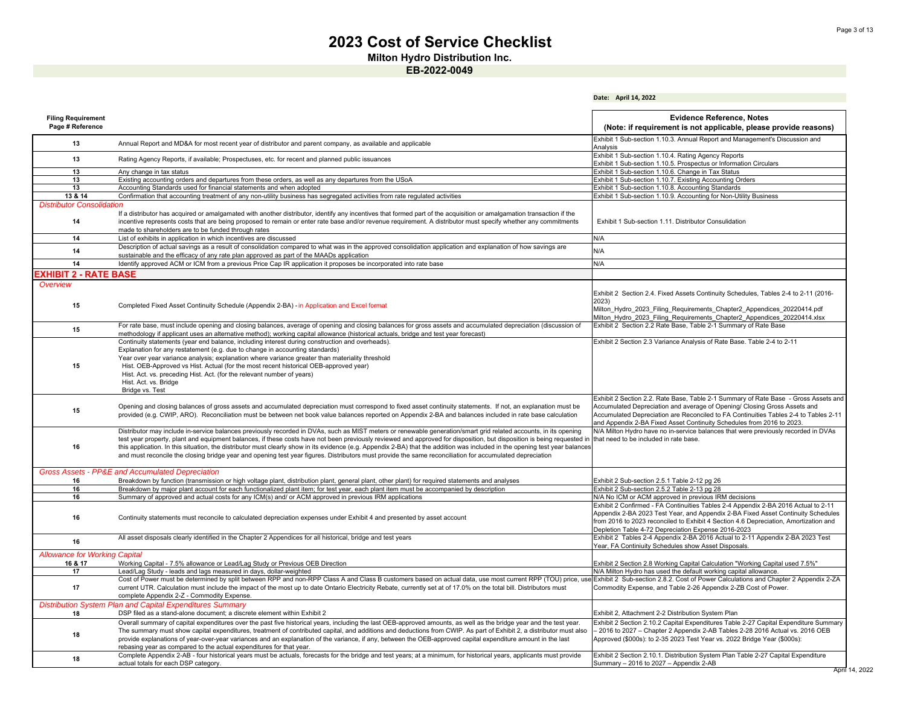**Date: April 14, 2022**

**Milton Hydro Distribution Inc.**

| <b>Filing Requirement</b><br>Page # Reference   |                                                                                                                                                                                                                                                                                                                                                                                                                                                                                                                                                                                                                                                                                        | <b>Evidence Reference, Notes</b><br>(Note: if requirement is not applicable, please provide reasons)                                                                                                                                                                                                                  |
|-------------------------------------------------|----------------------------------------------------------------------------------------------------------------------------------------------------------------------------------------------------------------------------------------------------------------------------------------------------------------------------------------------------------------------------------------------------------------------------------------------------------------------------------------------------------------------------------------------------------------------------------------------------------------------------------------------------------------------------------------|-----------------------------------------------------------------------------------------------------------------------------------------------------------------------------------------------------------------------------------------------------------------------------------------------------------------------|
| 13                                              | Annual Report and MD&A for most recent year of distributor and parent company, as available and applicable                                                                                                                                                                                                                                                                                                                                                                                                                                                                                                                                                                             | Exhibit 1 Sub-section 1.10.3. Annual Report and Management's Discussion and<br>Analysis                                                                                                                                                                                                                               |
| 13                                              | Rating Agency Reports, if available; Prospectuses, etc. for recent and planned public issuances                                                                                                                                                                                                                                                                                                                                                                                                                                                                                                                                                                                        | Exhibit 1 Sub-section 1.10.4. Rating Agency Reports<br>Exhibit 1 Sub-section 1.10.5. Prospectus or Information Circulars                                                                                                                                                                                              |
| 13                                              | Any change in tax status                                                                                                                                                                                                                                                                                                                                                                                                                                                                                                                                                                                                                                                               | Exhibit 1 Sub-section 1.10.6. Change in Tax Status                                                                                                                                                                                                                                                                    |
| 13                                              | Existing accounting orders and departures from these orders, as well as any departures from the USoA                                                                                                                                                                                                                                                                                                                                                                                                                                                                                                                                                                                   | Exhibit 1 Sub-section 1.10.7. Existing Accounting Orders                                                                                                                                                                                                                                                              |
| 13                                              | Accounting Standards used for financial statements and when adopted                                                                                                                                                                                                                                                                                                                                                                                                                                                                                                                                                                                                                    | Exhibit 1 Sub-section 1.10.8. Accounting Standards                                                                                                                                                                                                                                                                    |
| 13 & 14                                         | Confirmation that accounting treatment of any non-utility business has segregated activities from rate regulated activities                                                                                                                                                                                                                                                                                                                                                                                                                                                                                                                                                            | Exhibit 1 Sub-section 1.10.9. Accounting for Non-Utility Business                                                                                                                                                                                                                                                     |
| <b>Distributor Consolidation</b>                |                                                                                                                                                                                                                                                                                                                                                                                                                                                                                                                                                                                                                                                                                        |                                                                                                                                                                                                                                                                                                                       |
| 14                                              | If a distributor has acquired or amalgamated with another distributor, identify any incentives that formed part of the acquisition or amalgamation transaction if the<br>incentive represents costs that are being proposed to remain or enter rate base and/or revenue requirement. A distributor must specify whether any commitments<br>made to shareholders are to be funded through rates                                                                                                                                                                                                                                                                                         | Exhibit 1 Sub-section 1.11. Distributor Consulidation                                                                                                                                                                                                                                                                 |
| 14                                              | List of exhibits in application in which incentives are discussed                                                                                                                                                                                                                                                                                                                                                                                                                                                                                                                                                                                                                      | N/A                                                                                                                                                                                                                                                                                                                   |
|                                                 | Description of actual savings as a result of consolidation compared to what was in the approved consolidation application and explanation of how savings are                                                                                                                                                                                                                                                                                                                                                                                                                                                                                                                           |                                                                                                                                                                                                                                                                                                                       |
| 14                                              | sustainable and the efficacy of any rate plan approved as part of the MAADs application                                                                                                                                                                                                                                                                                                                                                                                                                                                                                                                                                                                                | N/A                                                                                                                                                                                                                                                                                                                   |
| 14                                              | Identify approved ACM or ICM from a previous Price Cap IR application it proposes be incorporated into rate base                                                                                                                                                                                                                                                                                                                                                                                                                                                                                                                                                                       | N/A                                                                                                                                                                                                                                                                                                                   |
|                                                 |                                                                                                                                                                                                                                                                                                                                                                                                                                                                                                                                                                                                                                                                                        |                                                                                                                                                                                                                                                                                                                       |
| EXHIBIT 2 - RATE BASE                           |                                                                                                                                                                                                                                                                                                                                                                                                                                                                                                                                                                                                                                                                                        |                                                                                                                                                                                                                                                                                                                       |
| Overview                                        |                                                                                                                                                                                                                                                                                                                                                                                                                                                                                                                                                                                                                                                                                        |                                                                                                                                                                                                                                                                                                                       |
| 15                                              | Completed Fixed Asset Continuity Schedule (Appendix 2-BA) - in Application and Excel format                                                                                                                                                                                                                                                                                                                                                                                                                                                                                                                                                                                            | Exhibit 2 Section 2.4. Fixed Assets Continuity Schedules, Tables 2-4 to 2-11 (2016-<br>2023)                                                                                                                                                                                                                          |
|                                                 |                                                                                                                                                                                                                                                                                                                                                                                                                                                                                                                                                                                                                                                                                        | Milton Hydro 2023 Filing Requirements Chapter2 Appendices 20220414.pdf<br>Milton Hydro 2023 Filing Requirements Chapter2 Appendices 20220414.xlsx                                                                                                                                                                     |
| 15                                              | For rate base, must include opening and closing balances, average of opening and closing balances for gross assets and accumulated depreciation (discussion of<br>methodology if applicant uses an alternative method); working capital allowance (historical actuals, bridge and test year forecast)                                                                                                                                                                                                                                                                                                                                                                                  | Exhibit 2 Section 2.2 Rate Base, Table 2-1 Summary of Rate Base                                                                                                                                                                                                                                                       |
| 15                                              | Continuity statements (year end balance, including interest during construction and overheads).<br>Explanation for any restatement (e.g. due to change in accounting standards)<br>Year over year variance analysis; explanation where variance greater than materiality threshold<br>Hist. OEB-Approved vs Hist. Actual (for the most recent historical OEB-approved year)                                                                                                                                                                                                                                                                                                            | Exhibit 2 Section 2.3 Variance Analysis of Rate Base. Table 2-4 to 2-11                                                                                                                                                                                                                                               |
|                                                 | Hist. Act. vs. preceding Hist. Act. (for the relevant number of years)<br>Hist. Act. vs. Bridge<br>Bridge vs. Test                                                                                                                                                                                                                                                                                                                                                                                                                                                                                                                                                                     | Exhibit 2 Section 2.2. Rate Base, Table 2-1 Summary of Rate Base - Gross Assets and                                                                                                                                                                                                                                   |
| 15                                              | Opening and closing balances of gross assets and accumulated depreciation must correspond to fixed asset continuity statements. If not, an explanation must be<br>provided (e.g. CWIP, ARO). Reconciliation must be between net book value balances reported on Appendix 2-BA and balances included in rate base calculation                                                                                                                                                                                                                                                                                                                                                           | Accumulated Depreciation and average of Opening/ Closing Gross Assets and<br>Accumulated Depreciation are Reconciled to FA Continuities Tables 2-4 to Tables 2-11<br>and Appendix 2-BA Fixed Asset Continuity Schedules from 2016 to 2023                                                                             |
| 16                                              | Distributor may include in-service balances previously recorded in DVAs, such as MIST meters or renewable generation/smart grid related accounts, in its opening<br>test year property, plant and equipment balances, if these costs have not been previously reviewed and approved for disposition, but disposition is being requested in<br>this application. In this situation, the distributor must clearly show in its evidence (e.g. Appendix 2-BA) that the addition was included in the opening test year balances<br>and must reconcile the closing bridge year and opening test year figures. Distributors must provide the same reconciliation for accumulated depreciation | N/A Milton Hydro have no in-service balances that were previously recorded in DVAs<br>that need to be included in rate base.                                                                                                                                                                                          |
| 16                                              | Gross Assets - PP&E and Accumulated Depreciation<br>Breakdown by function (transmission or high voltage plant, distribution plant, general plant, other plant) for required statements and analyses                                                                                                                                                                                                                                                                                                                                                                                                                                                                                    | Exhibit 2 Sub-section 2.5.1 Table 2-12 pg 26                                                                                                                                                                                                                                                                          |
| 16                                              | Breakdown by major plant account for each functionalized plant item; for test year, each plant item must be accompanied by description                                                                                                                                                                                                                                                                                                                                                                                                                                                                                                                                                 | Exhibit 2 Sub-section 2.5.2 Table 2-13 pg 28                                                                                                                                                                                                                                                                          |
| 16                                              | Summary of approved and actual costs for any ICM(s) and/ or ACM approved in previous IRM applications                                                                                                                                                                                                                                                                                                                                                                                                                                                                                                                                                                                  | N/A No ICM or ACM approved in previous IRM decisions                                                                                                                                                                                                                                                                  |
| 16                                              | Continuity statements must reconcile to calculated depreciation expenses under Exhibit 4 and presented by asset account                                                                                                                                                                                                                                                                                                                                                                                                                                                                                                                                                                | Exhibit 2 Confirmed - FA Continuities Tables 2-4 Appendix 2-BA 2016 Actual to 2-11<br>Appendix 2-BA 2023 Test Year, and Appendix 2-BA Fixed Asset Continuity Schedules<br>from 2016 to 2023 reconciled to Exhibit 4 Section 4.6 Depreciation, Amortization and<br>Depletion Table 4-72 Depreciation Expense 2016-2023 |
| 16                                              | All asset disposals clearly identified in the Chapter 2 Appendices for all historical, bridge and test years                                                                                                                                                                                                                                                                                                                                                                                                                                                                                                                                                                           | Exhibit 2 Tables 2-4 Appendix 2-BA 2016 Actual to 2-11 Appendix 2-BA 2023 Test<br>Year, FA Continiuity Schedules show Asset Disposals.                                                                                                                                                                                |
| <b>Allowance for Working Capital</b><br>16 & 17 | Working Capital - 7.5% allowance or Lead/Lag Study or Previous OEB Direction                                                                                                                                                                                                                                                                                                                                                                                                                                                                                                                                                                                                           | Exhibit 2 Section 2.8 Working Capital Calculation "Working Capital used 7.5%"                                                                                                                                                                                                                                         |
| 17                                              | Lead/Lag Study - leads and lags measured in days, dollar-weighted                                                                                                                                                                                                                                                                                                                                                                                                                                                                                                                                                                                                                      | N/A Milton Hydro has used the default working capital allowance.                                                                                                                                                                                                                                                      |
| 17                                              | Cost of Power must be determined by split between RPP and non-RPP Class A and Class B customers based on actual data, use most current RPP (TOU) price, use Exhibit 2 Sub-section 2.8.2. Cost of Power Calculations and Chapte<br>current UTR. Calculation must include the impact of the most up to date Ontario Electricity Rebate, currently set at of 17.0% on the total bill. Distributors must<br>complete Appendix 2-Z - Commodity Expense.                                                                                                                                                                                                                                     | Commodity Expense, and Table 2-26 Appendix 2-ZB Cost of Power.                                                                                                                                                                                                                                                        |
| 18                                              | Distribution System Plan and Capital Expenditures Summary<br>DSP filed as a stand-alone document; a discrete element within Exhibit 2                                                                                                                                                                                                                                                                                                                                                                                                                                                                                                                                                  | Exhibit 2, Attachment 2-2 Distribution System Plan                                                                                                                                                                                                                                                                    |
|                                                 | Overall summary of capital expenditures over the past five historical years, including the last OEB-approved amounts, as well as the bridge year and the test year.                                                                                                                                                                                                                                                                                                                                                                                                                                                                                                                    | Exhibit 2 Section 2.10.2 Capital Expenditures Table 2-27 Capital Expenditure Summary                                                                                                                                                                                                                                  |
| 18                                              | The summary must show capital expenditures, treatment of contributed capital, and additions and deductions from CWIP. As part of Exhibit 2, a distributor must also<br>provide explanations of year-over-year variances and an explanation of the variance, if any, between the OEB-approved capital expenditure amount in the last<br>rebasing year as compared to the actual expenditures for that year.                                                                                                                                                                                                                                                                             | -2016 to 2027 - Chapter 2 Appendix 2-AB Tables 2-28 2016 Actual vs. 2016 OEB<br>Approved (\$000s): to 2-35 2023 Test Year vs. 2022 Bridge Year (\$000s):                                                                                                                                                              |
| 18                                              | Complete Appendix 2-AB - four historical years must be actuals, forecasts for the bridge and test years; at a minimum, for historical years, applicants must provide<br>actual totals for each DSP category.                                                                                                                                                                                                                                                                                                                                                                                                                                                                           | Exhibit 2 Section 2.10.1. Distribution System Plan Table 2-27 Capital Expenditure<br>Summary - 2016 to 2027 - Appendix 2-AB                                                                                                                                                                                           |
|                                                 |                                                                                                                                                                                                                                                                                                                                                                                                                                                                                                                                                                                                                                                                                        |                                                                                                                                                                                                                                                                                                                       |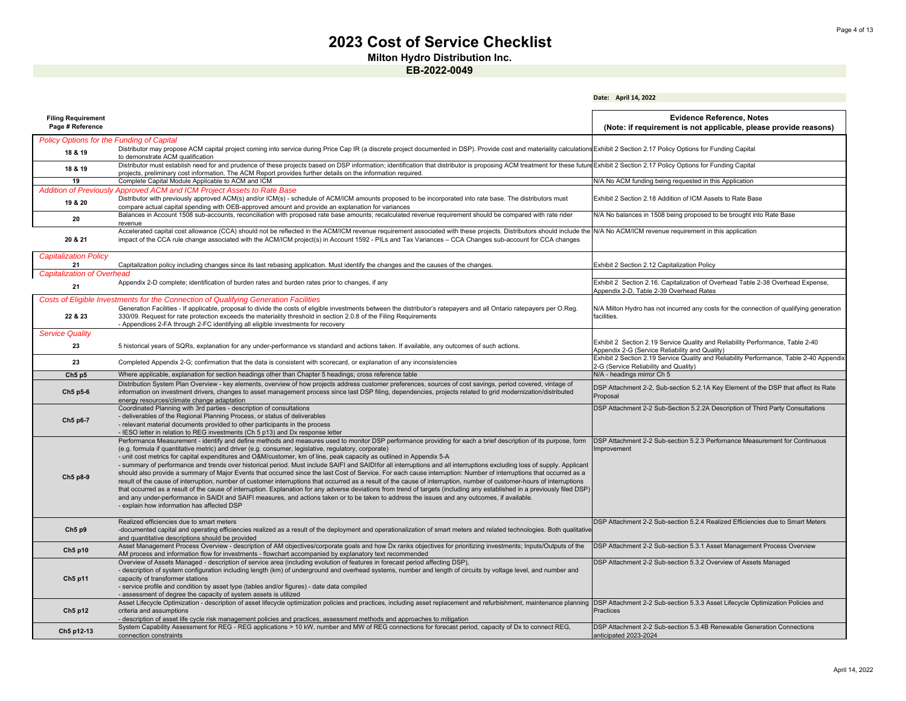**Milton Hydro Distribution Inc.**

|                                                             |                                                                                                                                                                                                                                                                                                                                                                                                                                                                                                                                                                                                                                                                                                                                                                                                                                                                                                                                                                                                                                                                                                                                                                                                                                                                                                          | Date: April 14, 2022                                                                                                             |
|-------------------------------------------------------------|----------------------------------------------------------------------------------------------------------------------------------------------------------------------------------------------------------------------------------------------------------------------------------------------------------------------------------------------------------------------------------------------------------------------------------------------------------------------------------------------------------------------------------------------------------------------------------------------------------------------------------------------------------------------------------------------------------------------------------------------------------------------------------------------------------------------------------------------------------------------------------------------------------------------------------------------------------------------------------------------------------------------------------------------------------------------------------------------------------------------------------------------------------------------------------------------------------------------------------------------------------------------------------------------------------|----------------------------------------------------------------------------------------------------------------------------------|
| <b>Filing Requirement</b><br>Page # Reference               |                                                                                                                                                                                                                                                                                                                                                                                                                                                                                                                                                                                                                                                                                                                                                                                                                                                                                                                                                                                                                                                                                                                                                                                                                                                                                                          | <b>Evidence Reference, Notes</b><br>(Note: if requirement is not applicable, please provide reasons)                             |
| <b>Policy Options for the Funding of Capital</b><br>18 & 19 | Distributor may propose ACM capital project coming into service during Price Cap IR (a discrete project documented in DSP). Provide cost and materiality calculations Exhibit 2 Section 2.17 Policy Options for Funding Capita<br>to demonstrate ACM qualification                                                                                                                                                                                                                                                                                                                                                                                                                                                                                                                                                                                                                                                                                                                                                                                                                                                                                                                                                                                                                                       |                                                                                                                                  |
| 18 & 19                                                     | Distributor must establish need for and prudence of these projects based on DSP information; identification that distributor is proposing ACM treatment for these future Exhibit 2 Section 2.17 Policy Options for Funding Cap<br>projects, preliminary cost information. The ACM Report provides further details on the information required.                                                                                                                                                                                                                                                                                                                                                                                                                                                                                                                                                                                                                                                                                                                                                                                                                                                                                                                                                           |                                                                                                                                  |
| 19                                                          | Complete Capital Module Applicable to ACM and ICM                                                                                                                                                                                                                                                                                                                                                                                                                                                                                                                                                                                                                                                                                                                                                                                                                                                                                                                                                                                                                                                                                                                                                                                                                                                        | N/A No ACM funding being requested in this Application                                                                           |
| 19 & 20                                                     | Addition of Previously Approved ACM and ICM Project Assets to Rate Base<br>Distributor with previously approved ACM(s) and/or ICM(s) - schedule of ACM/ICM amounts proposed to be incorporated into rate base. The distributors must<br>compare actual capital spending with OEB-approved amount and provide an explanation for variances                                                                                                                                                                                                                                                                                                                                                                                                                                                                                                                                                                                                                                                                                                                                                                                                                                                                                                                                                                | Exhibit 2 Section 2.18 Addition of ICM Assets to Rate Base                                                                       |
| 20                                                          | Balances in Account 1508 sub-accounts, reconciliation with proposed rate base amounts; recalculated revenue requirement should be compared with rate rider<br>revenue                                                                                                                                                                                                                                                                                                                                                                                                                                                                                                                                                                                                                                                                                                                                                                                                                                                                                                                                                                                                                                                                                                                                    | N/A No balances in 1508 being proposed to be brought into Rate Base                                                              |
| 20 & 21                                                     | Accelerated capital cost allowance (CCA) should not be reflected in the ACM/ICM revenue requirement associated with these projects. Distributors should include the<br>impact of the CCA rule change associated with the ACM/ICM project(s) in Account 1592 - PILs and Tax Variances - CCA Changes sub-account for CCA changes                                                                                                                                                                                                                                                                                                                                                                                                                                                                                                                                                                                                                                                                                                                                                                                                                                                                                                                                                                           | N/A No ACM/ICM revenue requirement in this application                                                                           |
| <b>Capitalization Policy</b><br>21                          | Capitalization policy including changes since its last rebasing application. Must identify the changes and the causes of the changes.                                                                                                                                                                                                                                                                                                                                                                                                                                                                                                                                                                                                                                                                                                                                                                                                                                                                                                                                                                                                                                                                                                                                                                    | Exhibit 2 Section 2.12 Capitalization Policy                                                                                     |
| <b>Capitalization of Overhead</b>                           |                                                                                                                                                                                                                                                                                                                                                                                                                                                                                                                                                                                                                                                                                                                                                                                                                                                                                                                                                                                                                                                                                                                                                                                                                                                                                                          |                                                                                                                                  |
| 21                                                          | Appendix 2-D complete; identification of burden rates and burden rates prior to changes, if any                                                                                                                                                                                                                                                                                                                                                                                                                                                                                                                                                                                                                                                                                                                                                                                                                                                                                                                                                                                                                                                                                                                                                                                                          | Exhibit 2 Section 2.16. Capitalization of Overhead Table 2-38 Overhead Expense,<br>Appendix 2-D, Table 2-39 Overhead Rates       |
| 22 & 23                                                     | Costs of Eligible Investments for the Connection of Qualifying Generation Facilities<br>Generation Facilities - If applicable, proposal to divide the costs of eligible investments between the distributor's ratepayers and all Ontario ratepayers per O.Reg.<br>330/09. Request for rate protection exceeds the materiality threshold in section 2.0.8 of the Filing Requirements<br>- Appendices 2-FA through 2-FC identifying all eligible investments for recovery                                                                                                                                                                                                                                                                                                                                                                                                                                                                                                                                                                                                                                                                                                                                                                                                                                  | N/A Milton Hydro has not incurred any costs for the connection of qualifying generation<br>facilities.                           |
| <b>Service Quality</b>                                      |                                                                                                                                                                                                                                                                                                                                                                                                                                                                                                                                                                                                                                                                                                                                                                                                                                                                                                                                                                                                                                                                                                                                                                                                                                                                                                          |                                                                                                                                  |
| 23                                                          | 5 historical years of SQRs, explanation for any under-performance vs standard and actions taken. If available, any outcomes of such actions.                                                                                                                                                                                                                                                                                                                                                                                                                                                                                                                                                                                                                                                                                                                                                                                                                                                                                                                                                                                                                                                                                                                                                             | Exhibit 2 Section 2.19 Service Quality and Reliability Performance, Table 2-40<br>Appendix 2-G (Service Reliability and Quality) |
| 23                                                          | Completed Appendix 2-G; confirmation that the data is consistent with scorecard, or explanation of any inconsistencies                                                                                                                                                                                                                                                                                                                                                                                                                                                                                                                                                                                                                                                                                                                                                                                                                                                                                                                                                                                                                                                                                                                                                                                   | Exhibit 2 Section 2.19 Service Quality and Reliability Performance, Table 2-40 Appendix<br>2-G (Service Reliability and Quality) |
| Ch5p5                                                       | Where applicable, explanation for section headings other than Chapter 5 headings; cross reference table                                                                                                                                                                                                                                                                                                                                                                                                                                                                                                                                                                                                                                                                                                                                                                                                                                                                                                                                                                                                                                                                                                                                                                                                  | N/A - headings mirror Ch 5                                                                                                       |
| Ch5 p5-6                                                    | Distribution System Plan Overview - key elements, overview of how projects address customer preferences, sources of cost savings, period covered, vintage of<br>information on investment drivers, changes to asset management process since last DSP filing, dependencies, projects related to grid modernization/distributed<br>energy resources/climate change adaptation                                                                                                                                                                                                                                                                                                                                                                                                                                                                                                                                                                                                                                                                                                                                                                                                                                                                                                                             | DSP Attachment 2-2, Sub-section 5.2.1A Key Element of the DSP that affect its Rate<br>Proposal                                   |
| Ch5 p6-7                                                    | Coordinated Planning with 3rd parties - description of consultations<br>- deliverables of the Regional Planning Process, or status of deliverables<br>- relevant material documents provided to other participants in the process<br>- IESO letter in relation to REG investments (Ch 5 p13) and Dx response letter                                                                                                                                                                                                                                                                                                                                                                                                                                                                                                                                                                                                                                                                                                                                                                                                                                                                                                                                                                                      | DSP Attachment 2-2 Sub-Section 5.2.2A Description of Third Party Consultations                                                   |
| Ch5 p8-9                                                    | Performance Measurement - identify and define methods and measures used to monitor DSP performance providing for each a brief description of its purpose, form<br>(e.g. formula if quantitative metric) and driver (e.g. consumer, legislative, regulatory, corporate)<br>- unit cost metrics for capital expenditures and O&M/customer, km of line, peak capacity as outlined in Appendix 5-A<br>- summary of performance and trends over historical period. Must include SAIFI and SAIDIfor all interruptions and all interruptions excluding loss of supply. Applicant<br>should also provide a summary of Major Events that occurred since the last Cost of Service. For each cause interruption: Number of interruptions that occurred as a<br>result of the cause of interruption, number of customer interruptions that occurred as a result of the cause of interruption, number of customer-hours of interruptions<br>that occurred as a result of the cause of interruption. Explanation for any adverse deviations from trend of targets (including any established in a previously filed DSP)<br>and any under-performance in SAIDI and SAIFI measures, and actions taken or to be taken to address the issues and any outcomes, if available.<br>- explain how information has affected DSP | DSP Attachment 2-2 Sub-section 5.2.3 Perfornance Measurement for Continuous<br>Improvement                                       |
| Ch5p9                                                       | Realized efficiencies due to smart meters<br>-documented capital and operating efficiencies realized as a result of the deployment and operationalization of smart meters and related technologies. Both qualitative<br>and quantitative descriptions should be provided                                                                                                                                                                                                                                                                                                                                                                                                                                                                                                                                                                                                                                                                                                                                                                                                                                                                                                                                                                                                                                 | DSP Attachment 2-2 Sub-section 5.2.4 Realized Efficiencies due to Smart Meters                                                   |
| Ch5 p10                                                     | Asset Management Process Overview - description of AM objectives/corporate goals and how Dx ranks objectives for prioritizing investments; Inputs/Outputs of the<br>AM process and information flow for investments - flowchart accompanied by explanatory text recommended                                                                                                                                                                                                                                                                                                                                                                                                                                                                                                                                                                                                                                                                                                                                                                                                                                                                                                                                                                                                                              | DSP Attachment 2-2 Sub-section 5.3.1 Asset Management Process Overview                                                           |
| Ch5 p11                                                     | Overview of Assets Managed - description of service area (including evolution of features in forecast period affecting DSP),<br>- description of system configuration including length (km) of underground and overhead systems, number and length of circuits by voltage level, and number and<br>capacity of transformer stations<br>- service profile and condition by asset type (tables and/or figures) - date data compiled<br>- assessment of degree the capacity of system assets is utilized                                                                                                                                                                                                                                                                                                                                                                                                                                                                                                                                                                                                                                                                                                                                                                                                    | DSP Attachment 2-2 Sub-section 5.3.2 Overview of Assets Managed                                                                  |
| Ch5 p12                                                     | Asset Lifecycle Optimization - description of asset lifecycle optimization policies and practices, including asset replacement and refurbishment, maintenance planning DSP Attachment 2-2 Sub-section 5.3.3 Asset Lifecycle Op<br>criteria and assumptions<br>- description of asset life cycle risk management policies and practices, assessment methods and approaches to mitigation                                                                                                                                                                                                                                                                                                                                                                                                                                                                                                                                                                                                                                                                                                                                                                                                                                                                                                                  | Practices                                                                                                                        |
| Ch5 p12-13                                                  | System Capability Assessment for REG - REG applications > 10 kW, number and MW of REG connections for forecast period, capacity of Dx to connect REG,<br>connection constraints                                                                                                                                                                                                                                                                                                                                                                                                                                                                                                                                                                                                                                                                                                                                                                                                                                                                                                                                                                                                                                                                                                                          | DSP Attachment 2-2 Sub-section 5.3.4B Renewable Generation Connections<br>anticipated 2023-2024                                  |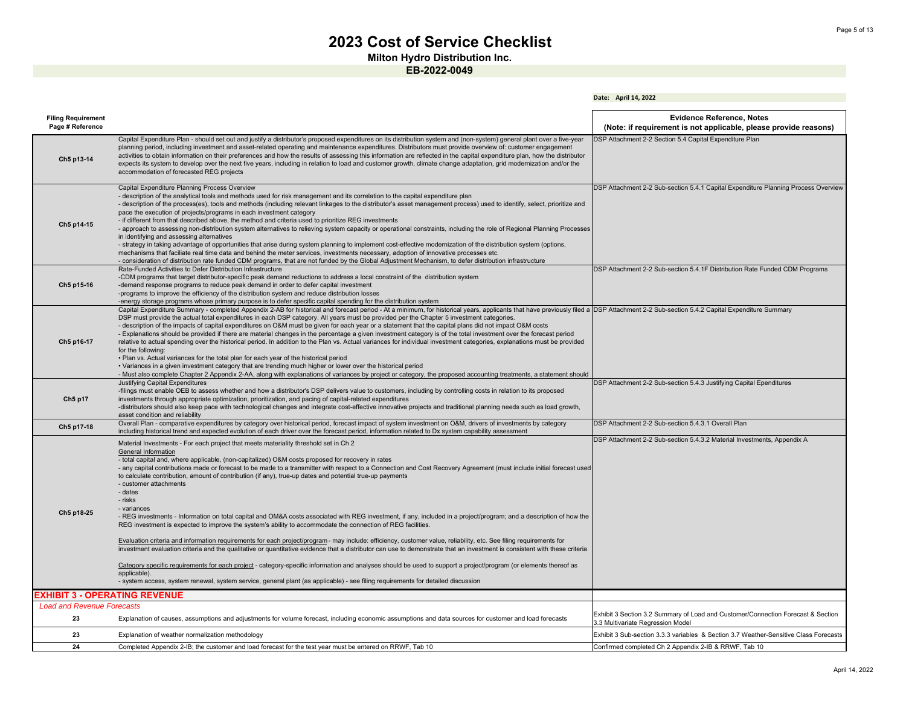**Date: April 14, 2022**

**Milton Hydro Distribution Inc.**

| <b>Filing Requirement</b><br>Page # Reference |                                                                                                                                                                                                                                                                                                                                                                                                                                                                                                                                                                                                                                                                                                                                                                                                                                                                                                                                                                                                                                                                                                                                                                                                                                                                                           | <b>Evidence Reference, Notes</b><br>(Note: if requirement is not applicable, please provide reasons)                  |
|-----------------------------------------------|-------------------------------------------------------------------------------------------------------------------------------------------------------------------------------------------------------------------------------------------------------------------------------------------------------------------------------------------------------------------------------------------------------------------------------------------------------------------------------------------------------------------------------------------------------------------------------------------------------------------------------------------------------------------------------------------------------------------------------------------------------------------------------------------------------------------------------------------------------------------------------------------------------------------------------------------------------------------------------------------------------------------------------------------------------------------------------------------------------------------------------------------------------------------------------------------------------------------------------------------------------------------------------------------|-----------------------------------------------------------------------------------------------------------------------|
| Ch5 p13-14                                    | Capital Expenditure Plan - should set out and justify a distributor's proposed expenditures on its distribution system and (non-system) general plant over a five-year<br>planning period, including investment and asset-related operating and maintenance expenditures. Distributors must provide overview of: customer engagement<br>activities to obtain information on their preferences and how the results of assessing this information are reflected in the capital expenditure plan, how the distributor<br>expects its system to develop over the next five years, including in relation to load and customer growth, climate change adaptation, grid modernization and/or the<br>accommodation of forecasted REG projects                                                                                                                                                                                                                                                                                                                                                                                                                                                                                                                                                     | DSP Attachment 2-2 Section 5.4 Capital Expenditure Plan                                                               |
| Ch5 p14-15                                    | Capital Expenditure Planning Process Overview<br>- description of the analytical tools and methods used for risk management and its correlation to the capital expenditure plan<br>- description of the process(es), tools and methods (including relevant linkages to the distributor's asset management process) used to identify, select, prioritize and<br>pace the execution of projects/programs in each investment category<br>- if different from that described above, the method and criteria used to prioritize REG investments<br>- approach to assessing non-distribution system alternatives to relieving system capacity or operational constraints, including the role of Regional Planning Processes<br>in identifying and assessing alternatives<br>- strategy in taking advantage of opportunities that arise during system planning to implement cost-effective modernization of the distribution system (options,<br>mechanisms that faciliate real time data and behind the meter services, investments necessary, adoption of innovative processes etc.<br>- consideration of distribution rate funded CDM programs, that are not funded by the Global Adjustment Mechanism, to defer distribution infrastructure                                                  | DSP Attachment 2-2 Sub-section 5.4.1 Capital Expenditure Planning Process Overview                                    |
| Ch5 p15-16                                    | Rate-Funded Activities to Defer Distribution Infrastructure<br>-CDM programs that target distributor-specific peak demand reductions to address a local constraint of the distribution system<br>-demand response programs to reduce peak demand in order to defer capital investment<br>-programs to improve the efficiency of the distribution system and reduce distribution losses<br>-energy storage programs whose primary purpose is to defer specific capital spending for the distribution system                                                                                                                                                                                                                                                                                                                                                                                                                                                                                                                                                                                                                                                                                                                                                                                | DSP Attachment 2-2 Sub-section 5.4.1F Distribution Rate Funded CDM Programs                                           |
| Ch5 p16-17                                    | Capital Expenditure Summary - completed Appendix 2-AB for historical and forecast period - At a minimum, for historical years, applicants that have previously filed a DSP Attachment 2-2 Sub-section 5.4.2 Capital Expenditur<br>DSP must provide the actual total expenditures in each DSP category. All years must be provided per the Chapter 5 investment categories.<br>- description of the impacts of capital expenditures on O&M must be given for each year or a statement that the capital plans did not impact O&M costs<br>- Explanations should be provided if there are material changes in the percentage a given investment category is of the total investment over the forecast period<br>relative to actual spending over the historical period. In addition to the Plan vs. Actual variances for individual investment categories, explanations must be provided<br>for the following:<br>. Plan vs. Actual variances for the total plan for each year of the historical period<br>• Variances in a given investment category that are trending much higher or lower over the historical period<br>- Must also complete Chapter 2 Appendix 2-AA, along with explanations of variances by project or category, the proposed accounting treatments, a statement should |                                                                                                                       |
| Ch5 p17                                       | Justifying Capital Expenditures<br>-filings must enable OEB to assess whether and how a distributor's DSP delivers value to customers, including by controlling costs in relation to its proposed<br>investments through appropriate optimization, prioritization, and pacing of capital-related expenditures<br>-distributors should also keep pace with technological changes and integrate cost-effective innovative projects and traditional planning needs such as load growth,<br>asset condition and reliability                                                                                                                                                                                                                                                                                                                                                                                                                                                                                                                                                                                                                                                                                                                                                                   | DSP Attachment 2-2 Sub-section 5.4.3 Justifying Capital Ependitures                                                   |
| Ch5 p17-18                                    | Overall Plan - comparative expenditures by category over historical period, forecast impact of system investment on O&M, drivers of investments by category<br>including historical trend and expected evolution of each driver over the forecast period, information related to Dx system capability assessment                                                                                                                                                                                                                                                                                                                                                                                                                                                                                                                                                                                                                                                                                                                                                                                                                                                                                                                                                                          | DSP Attachment 2-2 Sub-section 5.4.3.1 Overall Plan                                                                   |
| Ch5 p18-25                                    | Material Investments - For each project that meets materiality threshold set in Ch 2<br>General Information<br>- total capital and, where applicable, (non-capitalized) O&M costs proposed for recovery in rates<br>- any capital contributions made or forecast to be made to a transmitter with respect to a Connection and Cost Recovery Agreement (must include initial forecast used<br>to calculate contribution, amount of contribution (if any), true-up dates and potential true-up payments<br>- customer attachments<br>- dates<br>- risks<br>- variances<br>- REG investments - Information on total capital and OM&A costs associated with REG investment, if any, included in a project/program; and a description of how the<br>REG investment is expected to improve the system's ability to accommodate the connection of REG facilities.                                                                                                                                                                                                                                                                                                                                                                                                                                | DSP Attachment 2-2 Sub-section 5.4.3.2 Material Investments, Appendix A                                               |
|                                               | Evaluation criteria and information requirements for each project/program - may include: efficiency, customer value, reliability, etc. See filing requirements for<br>investment evaluation criteria and the qualitative or quantitative evidence that a distributor can use to demonstrate that an investment is consistent with these criteria                                                                                                                                                                                                                                                                                                                                                                                                                                                                                                                                                                                                                                                                                                                                                                                                                                                                                                                                          |                                                                                                                       |
|                                               | Category specific requirements for each project - category-specific information and analyses should be used to support a project/program (or elements thereof as<br>applicable).<br>- system access, system renewal, system service, general plant (as applicable) - see filing requirements for detailed discussion                                                                                                                                                                                                                                                                                                                                                                                                                                                                                                                                                                                                                                                                                                                                                                                                                                                                                                                                                                      |                                                                                                                       |
| EXHIBIT 3 - OPERATING REVENUE                 |                                                                                                                                                                                                                                                                                                                                                                                                                                                                                                                                                                                                                                                                                                                                                                                                                                                                                                                                                                                                                                                                                                                                                                                                                                                                                           |                                                                                                                       |
| <b>Load and Revenue Forecasts</b>             |                                                                                                                                                                                                                                                                                                                                                                                                                                                                                                                                                                                                                                                                                                                                                                                                                                                                                                                                                                                                                                                                                                                                                                                                                                                                                           |                                                                                                                       |
| 23                                            | Explanation of causes, assumptions and adjustments for volume forecast, including economic assumptions and data sources for customer and load forecasts                                                                                                                                                                                                                                                                                                                                                                                                                                                                                                                                                                                                                                                                                                                                                                                                                                                                                                                                                                                                                                                                                                                                   | Exhibit 3 Section 3.2 Summary of Load and Customer/Connection Forecast & Section<br>3.3 Multivariate Regression Model |
| 23                                            | Explanation of weather normalization methodology                                                                                                                                                                                                                                                                                                                                                                                                                                                                                                                                                                                                                                                                                                                                                                                                                                                                                                                                                                                                                                                                                                                                                                                                                                          | Exhibit 3 Sub-section 3.3.3 variables & Section 3.7 Weather-Sensitive Class Forecasts                                 |
| 24                                            | Completed Appendix 2-IB; the customer and load forecast for the test year must be entered on RRWF, Tab 10                                                                                                                                                                                                                                                                                                                                                                                                                                                                                                                                                                                                                                                                                                                                                                                                                                                                                                                                                                                                                                                                                                                                                                                 | Confirmed completed Ch 2 Appendix 2-IB & RRWF, Tab 10                                                                 |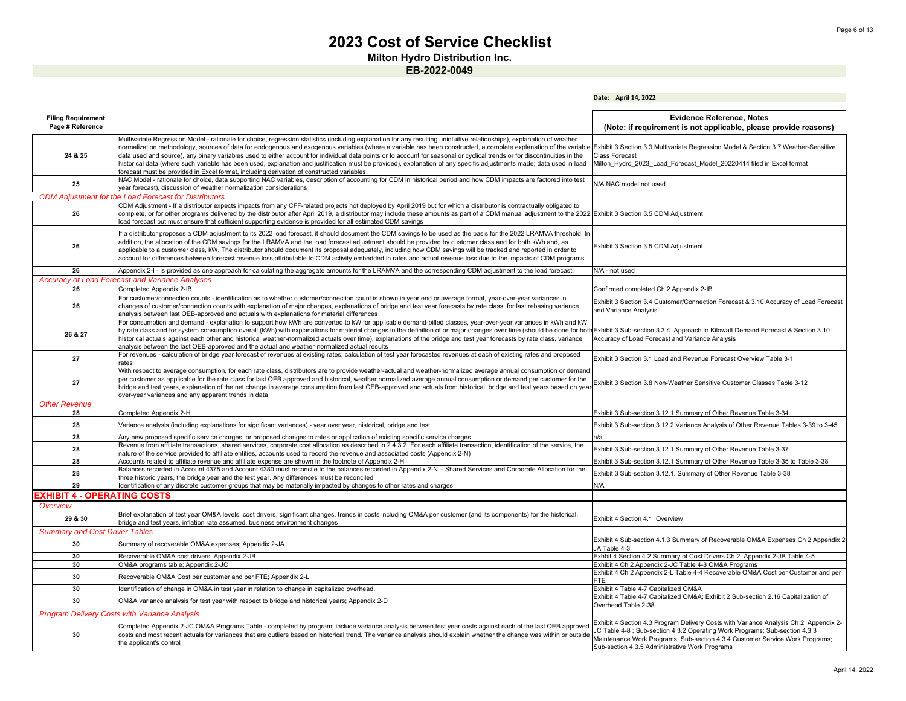**Date: April 14, 2022**

**Milton Hydro Distribution Inc.**

| <b>Filing Requirement</b><br>Page # Reference |                                                                                                                                                                                                                                                                                                                                                                                                                                                                                                                                                                                                                                                                                                                                                                                              | <b>Evidence Reference, Notes</b><br>(Note: if requirement is not applicable, please provide reasons)                                                                                                                                                                                                 |
|-----------------------------------------------|----------------------------------------------------------------------------------------------------------------------------------------------------------------------------------------------------------------------------------------------------------------------------------------------------------------------------------------------------------------------------------------------------------------------------------------------------------------------------------------------------------------------------------------------------------------------------------------------------------------------------------------------------------------------------------------------------------------------------------------------------------------------------------------------|------------------------------------------------------------------------------------------------------------------------------------------------------------------------------------------------------------------------------------------------------------------------------------------------------|
| 24 & 25                                       | Multivariate Regression Model - rationale for choice, regression statistics (including explanation for any resulting unintuitive relationships), explanation of weather<br>normalization methodology, sources of data for endogenous and exogenous variables (where a variable has been constructed, a complete explanation of the variable<br>data used and source), any binary variables used to either account for individual data points or to account for seasonal or cyclical trends or for discontinuities in the<br>historical data (where such variable has been used, explanation and justification must be provided), explanation of any specific adjustments made; data used in load<br>forecast must be provided in Excel format, including derivation of constructed variables | Exhibit 3 Section 3.3 Multivariate Regression Model & Section 3.7 Weather-Sensitive<br><b>Class Forecast</b><br>Milton Hydro 2023 Load Forecast Model 20220414 filed in Excel format                                                                                                                 |
| 25                                            | NAC Model - rationale for choice, data supporting NAC variables, description of accounting for CDM in historical period and how CDM impacts are factored into test<br>year forecast), discussion of weather normalization considerations                                                                                                                                                                                                                                                                                                                                                                                                                                                                                                                                                     | N/A NAC model not used.                                                                                                                                                                                                                                                                              |
| <b>CDM Adjustment for</b>                     | the Load Forecast for Distributors                                                                                                                                                                                                                                                                                                                                                                                                                                                                                                                                                                                                                                                                                                                                                           |                                                                                                                                                                                                                                                                                                      |
| 26                                            | CDM Adjustment - If a distributor expects impacts from any CFF-related projects not deployed by April 2019 but for which a distributor is contractually obligated to<br>complete, or for other programs delivered by the distributor after April 2019, a distributor may include these amounts as part of a CDM manual adjustment to the 2022 Exhibit 3 Section 3.5 CDM Adjustment<br>load forecast but must ensure that sufficient supporting evidence is provided for all estimated CDM savings                                                                                                                                                                                                                                                                                            |                                                                                                                                                                                                                                                                                                      |
| 26                                            | If a distributor proposes a CDM adjustment to its 2022 load forecast, it should document the CDM savings to be used as the basis for the 2022 LRAMVA threshold. In<br>addition, the allocation of the CDM savings for the LRAMVA and the load forecast adjustment should be provided by customer class and for both kWh and, as<br>applicable to a customer class, kW. The distributor should document its proposal adequately, including how CDM savings will be tracked and reported in order to<br>account for differences between forecast revenue loss attributable to CDM activity embedded in rates and actual revenue loss due to the impacts of CDM programs                                                                                                                        | Exhibit 3 Section 3.5 CDM Adjustment                                                                                                                                                                                                                                                                 |
| 26                                            | Appendix 2-I - is provided as one approach for calculating the aggregate amounts for the LRAMVA and the corresponding CDM adjustment to the load forecast                                                                                                                                                                                                                                                                                                                                                                                                                                                                                                                                                                                                                                    | N/A - not used                                                                                                                                                                                                                                                                                       |
| 26                                            | <b>Accuracy of Load Forecast and Variance Analyses</b><br>Completed Appendix 2-IB                                                                                                                                                                                                                                                                                                                                                                                                                                                                                                                                                                                                                                                                                                            | Confirmed completed Ch 2 Appendix 2-IB                                                                                                                                                                                                                                                               |
| 26                                            | For customer/connection counts - identification as to whether customer/connection count is shown in year end or average format, year-over-year variances in<br>changes of customer/connection counts with explanation of major changes, explanations of bridge and test year forecasts by rate class, for last rebasing variance<br>analysis between last OEB-approved and actuals with explanations for material differences                                                                                                                                                                                                                                                                                                                                                                | Exhibit 3 Section 3.4 Customer/Connection Forecast & 3.10 Accuracy of Load Forecast<br>and Variance Analysis                                                                                                                                                                                         |
| 26 & 27                                       | For consumption and demand - explanation to support how kWh are converted to kW for applicable demand-billed classes, year-over-year variances in kWh and kW<br>by rate class and for system consumption overall (kWh) with explanations for material changes in the definition of or major changes over time (should be done for both<br>historical actuals against each other and historical weather-normalized actuals over time), explanations of the bridge and test year forecasts by rate class, variance<br>analysis between the last OEB-approved and the actual and weather-normalized actual results                                                                                                                                                                              | Exhibit 3 Sub-section 3.3.4. Approach to Kilowatt Demand Forecast & Section 3.10<br>Accuracy of Load Forecast and Variance Analysis                                                                                                                                                                  |
| 27                                            | For revenues - calculation of bridge year forecast of revenues at existing rates; calculation of test year forecasted revenues at each of existing rates and proposed<br>rates                                                                                                                                                                                                                                                                                                                                                                                                                                                                                                                                                                                                               | Exhibit 3 Section 3.1 Load and Revenue Forecast Overview Table 3-1                                                                                                                                                                                                                                   |
| 27                                            | With respect to average consumption, for each rate class, distributors are to provide weather-actual and weather-normalized average annual consumption or demand<br>per customer as applicable for the rate class for last OEB approved and historical, weather normalized average annual consumption or demand per customer for the<br>bridge and test years, explanation of the net change in average consumption from last OEB-approved and actuals from historical, bridge and test years based on yea<br>over-year variances and any apparent trends in data                                                                                                                                                                                                                            | Exhibit 3 Section 3.8 Non-Weather Sensitive Customer Classes Table 3-12                                                                                                                                                                                                                              |
| <b>Other Revenue</b><br>28                    | Completed Appendix 2-H                                                                                                                                                                                                                                                                                                                                                                                                                                                                                                                                                                                                                                                                                                                                                                       | Exhibit 3 Sub-section 3.12.1 Summary of Other Revenue Table 3-34                                                                                                                                                                                                                                     |
| 28                                            | Variance analysis (including explanations for significant variances) - year over year, historical, bridge and test                                                                                                                                                                                                                                                                                                                                                                                                                                                                                                                                                                                                                                                                           | Exhibit 3 Sub-section 3.12.2 Variance Analysis of Other Revenue Tables 3-39 to 3-45                                                                                                                                                                                                                  |
| 28                                            | Any new proposed specific service charges, or proposed changes to rates or application of existing specific service charges                                                                                                                                                                                                                                                                                                                                                                                                                                                                                                                                                                                                                                                                  | n/a                                                                                                                                                                                                                                                                                                  |
| 28                                            | Revenue from affiliate transactions, shared services, corporate cost allocation as described in 2.4.3.2. For each affiliate transaction, identification of the service, the<br>nature of the service provided to affiliate entities, accounts used to record the revenue and associated costs (Appendix 2-N)                                                                                                                                                                                                                                                                                                                                                                                                                                                                                 | Exhibit 3 Sub-section 3.12.1 Summary of Other Revenue Table 3-37                                                                                                                                                                                                                                     |
| 28                                            | Accounts related to affiliate revenue and affiliate expense are shown in the footnote of Appendix 2-H                                                                                                                                                                                                                                                                                                                                                                                                                                                                                                                                                                                                                                                                                        | Exhibit 3 Sub-section 3.12.1 Summary of Other Revenue Table 3-35 to Table 3-38                                                                                                                                                                                                                       |
| 28                                            | Balances recorded in Account 4375 and Account 4380 must reconcile to the balances recorded in Appendix 2-N - Shared Services and Corporate Allocation for the<br>three historic years, the bridge year and the test year. Any differences must be reconciled                                                                                                                                                                                                                                                                                                                                                                                                                                                                                                                                 | Exhibit 3 Sub-section 3.12.1. Summary of Other Revenue Table 3-38                                                                                                                                                                                                                                    |
| 29                                            | Identification of any discrete customer groups that may be materially impacted by changes to other rates and charges.                                                                                                                                                                                                                                                                                                                                                                                                                                                                                                                                                                                                                                                                        | N/A                                                                                                                                                                                                                                                                                                  |
| EXHIBIT 4 - OPERATING COSTS                   |                                                                                                                                                                                                                                                                                                                                                                                                                                                                                                                                                                                                                                                                                                                                                                                              |                                                                                                                                                                                                                                                                                                      |
| Overview<br>29 & 30                           | Brief explanation of test year OM&A levels, cost drivers, significant changes, trends in costs including OM&A per customer (and its components) for the historical,<br>bridge and test years, inflation rate assumed, business environment changes                                                                                                                                                                                                                                                                                                                                                                                                                                                                                                                                           | Exhibit 4 Section 4.1 Overview                                                                                                                                                                                                                                                                       |
| <b>Summary and Cost Driver Tables</b>         |                                                                                                                                                                                                                                                                                                                                                                                                                                                                                                                                                                                                                                                                                                                                                                                              |                                                                                                                                                                                                                                                                                                      |
| 30                                            | Summary of recoverable OM&A expenses; Appendix 2-JA                                                                                                                                                                                                                                                                                                                                                                                                                                                                                                                                                                                                                                                                                                                                          | Exhibit 4 Sub-section 4.1.3 Summary of Recoverable OM&A Expenses Ch 2 Appendix 2<br>JA Table 4-3                                                                                                                                                                                                     |
| 30                                            | Recoverable OM&A cost drivers; Appendix 2-JB                                                                                                                                                                                                                                                                                                                                                                                                                                                                                                                                                                                                                                                                                                                                                 | Exhbit 4 Section 4.2 Summary of Cost Drivers Ch 2 Appendix 2-JB Table 4-5                                                                                                                                                                                                                            |
| 30                                            | OM&A programs table; Appendix 2-JC                                                                                                                                                                                                                                                                                                                                                                                                                                                                                                                                                                                                                                                                                                                                                           | Exhibit 4 Ch 2 Appendix 2-JC Table 4-8 OM&A Programs<br>Exhibit 4 Ch 2 Appendix 2-L Table 4-4 Recoverable OM&A Cost per Customer and per                                                                                                                                                             |
| 30                                            | Recoverable OM&A Cost per customer and per FTE; Appendix 2-L                                                                                                                                                                                                                                                                                                                                                                                                                                                                                                                                                                                                                                                                                                                                 | FTE.                                                                                                                                                                                                                                                                                                 |
| 30                                            | Identification of change in OM&A in test year in relation to change in capitalized overhead.                                                                                                                                                                                                                                                                                                                                                                                                                                                                                                                                                                                                                                                                                                 | Exhibit 4 Table 4-7 Capitalized OM&A<br>Exhibit 4 Table 4-7 Capitalized OM&A Exhibit 2 Sub-section 2.16 Capitalization of                                                                                                                                                                            |
| 30                                            | OM&A variance analysis for test year with respect to bridge and historical years; Appendix 2-D                                                                                                                                                                                                                                                                                                                                                                                                                                                                                                                                                                                                                                                                                               | Overhead Table 2-38                                                                                                                                                                                                                                                                                  |
|                                               | <b>Program Delivery Costs with Variance Analysis</b>                                                                                                                                                                                                                                                                                                                                                                                                                                                                                                                                                                                                                                                                                                                                         |                                                                                                                                                                                                                                                                                                      |
| 30                                            | Completed Appendix 2-JC OM&A Programs Table - completed by program; include variance analysis between test year costs against each of the last OEB approved<br>costs and most recent actuals for variances that are outliers based on historical trend. The variance analysis should explain whether the change was within or outside<br>the applicant's control                                                                                                                                                                                                                                                                                                                                                                                                                             | Exhibit 4 Section 4.3 Program Delivery Costs with Variance Analysis Ch 2 Appendix 2-<br>JC Table 4-8; Sub-section 4.3.2 Operating Work Programs; Sub-section 4.3.3<br>Maintenance Work Programs; Sub-section 4.3.4 Customer Service Work Programs;<br>Sub-section 4.3.5 Administrative Work Programs |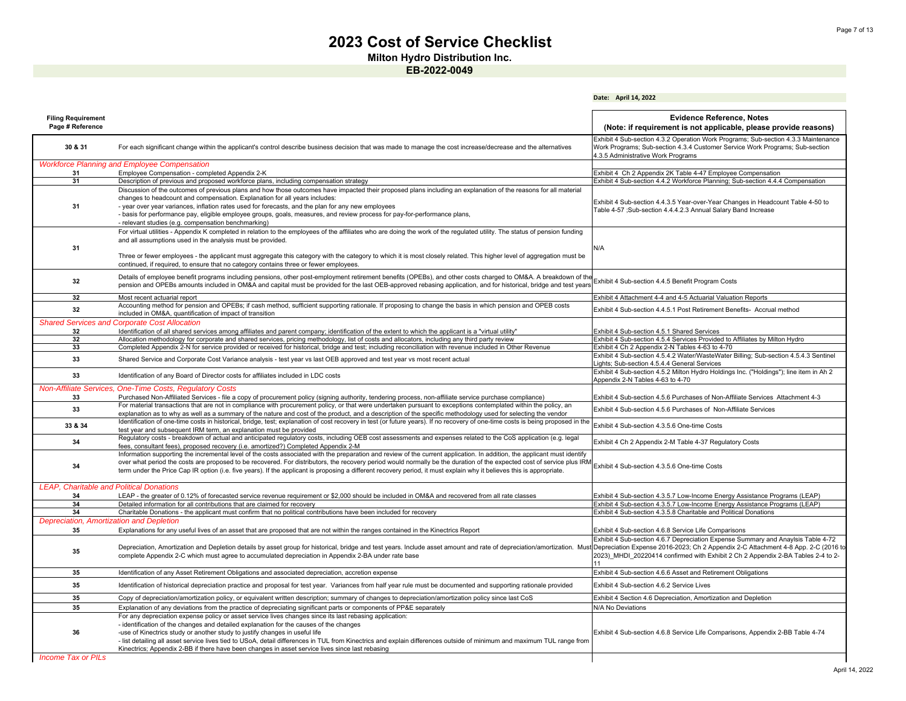**Milton Hydro Distribution Inc.**

**EB-2022-0049**

|                                                 |                                                                                                                                                                                                                                                                                                                                                 | Date: April 14, 2022                                                                                                                   |
|-------------------------------------------------|-------------------------------------------------------------------------------------------------------------------------------------------------------------------------------------------------------------------------------------------------------------------------------------------------------------------------------------------------|----------------------------------------------------------------------------------------------------------------------------------------|
|                                                 |                                                                                                                                                                                                                                                                                                                                                 |                                                                                                                                        |
| <b>Filing Requirement</b><br>Page # Reference   |                                                                                                                                                                                                                                                                                                                                                 | <b>Evidence Reference, Notes</b><br>(Note: if requirement is not applicable, please provide reasons)                                   |
|                                                 |                                                                                                                                                                                                                                                                                                                                                 | Exhibit 4 Sub-section 4.3.2 Operation Work Programs; Sub-section 4.3.3 Maintenance                                                     |
| 30 & 31                                         | For each significant change within the applicant's control describe business decision that was made to manage the cost increase/decrease and the alternatives                                                                                                                                                                                   | Work Programs; Sub-section 4.3.4 Customer Service Work Programs; Sub-section<br>4.3.5 Administrative Work Programs                     |
|                                                 | <b>Workforce Planning and Employee Compensation</b>                                                                                                                                                                                                                                                                                             |                                                                                                                                        |
| 31                                              | Employee Compensation - completed Appendix 2-K                                                                                                                                                                                                                                                                                                  | Exhibit 4 Ch 2 Appendix 2K Table 4-47 Employee Compensation                                                                            |
| 31                                              | Description of previous and proposed workforce plans, including compensation strategy                                                                                                                                                                                                                                                           | Exhibit 4 Sub-section 4.4.2 Workforce Planning; Sub-section 4.4.4 Compensation                                                         |
|                                                 | Discussion of the outcomes of previous plans and how those outcomes have impacted their proposed plans including an explanation of the reasons for all material<br>changes to headcount and compensation. Explanation for all years includes:                                                                                                   | Exhibit 4 Sub-section 4.4.3.5 Year-over-Year Changes in Headcount Table 4-50 to                                                        |
| 31                                              | - year over year variances, inflation rates used for forecasts, and the plan for any new employees<br>- basis for performance pay, eligible employee groups, goals, measures, and review process for pay-for-performance plans,<br>- relevant studies (e.g. compensation benchmarking)                                                          | Table 4-57 ;Sub-section 4.4.4.2.3 Annual Salary Band Increase                                                                          |
|                                                 | For virtual utilities - Appendix K completed in relation to the employees of the affiliates who are doing the work of the regulated utility. The status of pension funding                                                                                                                                                                      |                                                                                                                                        |
|                                                 | and all assumptions used in the analysis must be provided.                                                                                                                                                                                                                                                                                      |                                                                                                                                        |
| 31                                              |                                                                                                                                                                                                                                                                                                                                                 | N/A                                                                                                                                    |
|                                                 | Three or fewer employees - the applicant must aggregate this category with the category to which it is most closely related. This higher level of aggregation must be<br>continued, if required, to ensure that no category contains three or fewer employees.                                                                                  |                                                                                                                                        |
| 32                                              | Details of employee benefit programs including pensions, other post-employment retirement benefits (OPEBs), and other costs charged to OM&A. A breakdown of the<br>pension and OPEBs amounts included in OM&A and capital must be provided for the last OEB-approved rebasing application, and for historical, bridge and test years            | Exhibit 4 Sub-section 4.4.5 Benefit Program Costs                                                                                      |
| 32                                              | Most recent actuarial report                                                                                                                                                                                                                                                                                                                    | Exhibit 4 Attachment 4-4 and 4-5 Actuarial Valuation Reports                                                                           |
|                                                 | Accounting method for pension and OPEBs; if cash method, sufficient supporting rationale. If proposing to change the basis in which pension and OPEB costs                                                                                                                                                                                      |                                                                                                                                        |
| 32                                              | included in OM&A, quantification of impact of transition                                                                                                                                                                                                                                                                                        | Exhibit 4 Sub-section 4.4.5.1 Post Retirement Benefits- Accrual method                                                                 |
|                                                 | <b>Shared Services and Corporate Cost Allocation</b>                                                                                                                                                                                                                                                                                            |                                                                                                                                        |
| 32                                              | Identification of all shared services among affiliates and parent company; identification of the extent to which the applicant is a "virtual utility"                                                                                                                                                                                           | Exhibit 4 Sub-section 4.5.1 Shared Services                                                                                            |
| 32                                              | Allocation methodology for corporate and shared services, pricing methodology, list of costs and allocators, including any third party review                                                                                                                                                                                                   | Exhibit 4 Sub-section 4.5.4 Services Provided to Affiliates by Milton Hydro                                                            |
| 33                                              | Completed Appendix 2-N for service provided or received for historical, bridge and test; including reconciliation with revenue included in Other Revenue                                                                                                                                                                                        | Exhibit 4 Ch 2 Appendix 2-N Tables 4-63 to 4-70                                                                                        |
| 33                                              | Shared Service and Corporate Cost Variance analysis - test year vs last OEB approved and test year vs most recent actual                                                                                                                                                                                                                        | Exhibit 4 Sub-section 4.5.4.2 Water/WasteWater Billing; Sub-section 4.5.4.3 Sentinel                                                   |
|                                                 |                                                                                                                                                                                                                                                                                                                                                 | Lights; Sub-section 4.5.4.4 General Services<br>Exhibit 4 Sub-section 4.5.2 Milton Hydro Holdings Inc. ("Holdings"); line item in Ah 2 |
| 33                                              | Identification of any Board of Director costs for affiliates included in LDC costs                                                                                                                                                                                                                                                              | Appendix 2-N Tables 4-63 to 4-70                                                                                                       |
|                                                 | <b>Non-Affiliate Services, One-Time Costs, Requlatory Costs</b>                                                                                                                                                                                                                                                                                 |                                                                                                                                        |
| 33                                              | Purchased Non-Affiliated Services - file a copy of procurement policy (signing authority, tendering process, non-affiliate service purchase compliance)<br>For material transactions that are not in compliance with procurement policy, or that were undertaken pursuant to exceptions contemplated within the policy, an                      | Exhibit 4 Sub-section 4.5.6 Purchases of Non-Affiliate Services Attachment 4-3                                                         |
| 33                                              | explanation as to why as well as a summary of the nature and cost of the product, and a description of the specific methodology used for selecting the vendor                                                                                                                                                                                   | Exhibit 4 Sub-section 4.5.6 Purchases of Non-Affiliate Services                                                                        |
| 33 & 34                                         | Identification of one-time costs in historical, bridge, test; explanation of cost recovery in test (or future years). If no recovery of one-time costs is being proposed in the                                                                                                                                                                 | Exhibit 4 Sub-section 4.3.5.6 One-time Costs                                                                                           |
|                                                 | test year and subsequent IRM term, an explanation must be provided                                                                                                                                                                                                                                                                              |                                                                                                                                        |
| 34                                              | Regulatory costs - breakdown of actual and anticipated regulatory costs, including OEB cost assessments and expenses related to the CoS application (e.g. legal<br>fees, consultant fees), proposed recovery (i.e. amortized?) Completed Appendix 2-M                                                                                           | Exhibit 4 Ch 2 Appendix 2-M Table 4-37 Regulatory Costs                                                                                |
|                                                 | Information supporting the incremental level of the costs associated with the preparation and review of the current application. In addition, the applicant must identify                                                                                                                                                                       |                                                                                                                                        |
| 34                                              | over what period the costs are proposed to be recovered. For distributors, the recovery period would normally be the duration of the expected cost of service plus IRM<br>term under the Price Cap IR option (i.e. five years). If the applicant is proposing a different recovery period, it must explain why it believes this is appropriate. | Exhibit 4 Sub-section 4.3.5.6 One-time Costs                                                                                           |
| <b>LEAP, Charitable and Political Donations</b> |                                                                                                                                                                                                                                                                                                                                                 |                                                                                                                                        |
| 34                                              | LEAP - the greater of 0.12% of forecasted service revenue requirement or \$2,000 should be included in OM&A and recovered from all rate classes                                                                                                                                                                                                 | Exhibit 4 Sub-section 4.3.5.7 Low-Income Energy Assistance Programs (LEAP)                                                             |
| 34                                              | Detailed information for all contributions that are claimed for recovery                                                                                                                                                                                                                                                                        | Exhibit 4 Sub-section 4.3.5.7 Low-Income Energy Assistance Programs (LEAP)                                                             |
| 34                                              | Charitable Donations - the applicant must confirm that no political contributions have been included for recovery                                                                                                                                                                                                                               | Exhibit 4 Sub-section 4.3.5.8 Charitable and Political Donations                                                                       |
| Depreciation, Amortization and Depletion        |                                                                                                                                                                                                                                                                                                                                                 |                                                                                                                                        |
| 35                                              | Explanations for any useful lives of an asset that are proposed that are not within the ranges contained in the Kinectrics Report                                                                                                                                                                                                               | Exhibit 4 Sub-section 4.6.8 Service Life Comparisons                                                                                   |
|                                                 |                                                                                                                                                                                                                                                                                                                                                 | Exhibit 4 Sub-section 4.6.7 Depreciation Expense Summary and Anaylsis Table 4-72                                                       |
| 35                                              | Depreciation, Amortization and Depletion details by asset group for historical, bridge and test years. Include asset amount and rate of depreciation/amortization. Must                                                                                                                                                                         | Depreciation Expense 2016-2023; Ch 2 Appendix 2-C Attachment 4-8 App. 2-C (2016 to                                                     |
|                                                 | complete Appendix 2-C which must agree to accumulated depreciation in Appendix 2-BA under rate base                                                                                                                                                                                                                                             | 2023) MHDI 20220414 confirmed with Exhibit 2 Ch 2 Appendix 2-BA Tables 2-4 to 2-                                                       |
| 35                                              | Identification of any Asset Retirement Obligations and associated depreciation, accretion expense                                                                                                                                                                                                                                               | Exhibit 4 Sub-section 4.6.6 Asset and Retirement Obligations                                                                           |
| 35                                              | Identification of historical depreciation practice and proposal for test year. Variances from half year rule must be documented and supporting rationale provided                                                                                                                                                                               | Exhibit 4 Sub-section 4.6.2 Service Lives                                                                                              |
| 35                                              | Copy of depreciation/amortization policy, or equivalent written description; summary of changes to depreciation/amortization policy since last CoS                                                                                                                                                                                              | Exhibit 4 Section 4.6 Depreciation, Amortization and Depletion                                                                         |
| 35                                              | Explanation of any deviations from the practice of depreciating significant parts or components of PP&E separately                                                                                                                                                                                                                              | N/A No Deviations                                                                                                                      |
|                                                 | For any depreciation expense policy or asset service lives changes since its last rebasing application:                                                                                                                                                                                                                                         |                                                                                                                                        |
|                                                 | - identification of the changes and detailed explanation for the causes of the changes                                                                                                                                                                                                                                                          |                                                                                                                                        |
| 36                                              | -use of Kinectrics study or another study to justify changes in useful life                                                                                                                                                                                                                                                                     | Exhibit 4 Sub-section 4.6.8 Service Life Comparisons, Appendix 2-BB Table 4-74                                                         |
|                                                 | - list detailing all asset service lives tied to USoA, detail differences in TUL from Kinectrics and explain differences outside of minimum and maximum TUL range from                                                                                                                                                                          |                                                                                                                                        |
|                                                 | Kinectrics; Appendix 2-BB if there have been changes in asset service lives since last rebasing                                                                                                                                                                                                                                                 |                                                                                                                                        |
| <b>Income Tax or PILs</b>                       |                                                                                                                                                                                                                                                                                                                                                 |                                                                                                                                        |

#### *Income Tax or PILs*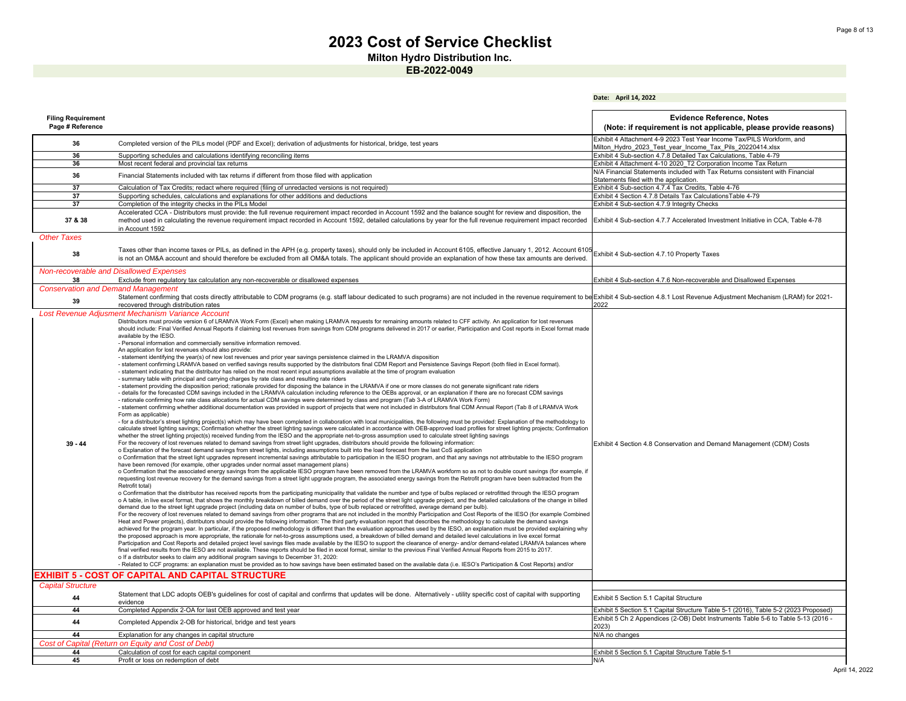**Milton Hydro Distribution Inc.**

|                                               |                                                                                                                                                                                                                                                                                                                                                                                                                                                                                                                                                                                                                                                                                                                                                                                                                                                                                                                                                                                                                                                                                                                                                                                                                                                                                                                                                                                                                                                                                                                                                                                                                                                                                                                                                                                                                                                                                                                                                                                                                                                                                                                                                                                                                                                                                                                                                                                                                                                                                                                                                                                                                                                                                                                                                                                                                                                                                                                                                                                                                                                                                                                                                                                                                                                                                                                                                                                                                                                                                                                                                                                                                                                                                                                                                                                                                                                                                                                                                                                                                                                                                                                                                                                                                                                                                                                                                                                                                                                                                                                                                                                                                                                                                                                                                                                                                                                                                                                                                                                                                                                                                                                                                                                                                                                                                                                                                                                                                                     | Date: April 14, 2022                                                                                                                            |
|-----------------------------------------------|-------------------------------------------------------------------------------------------------------------------------------------------------------------------------------------------------------------------------------------------------------------------------------------------------------------------------------------------------------------------------------------------------------------------------------------------------------------------------------------------------------------------------------------------------------------------------------------------------------------------------------------------------------------------------------------------------------------------------------------------------------------------------------------------------------------------------------------------------------------------------------------------------------------------------------------------------------------------------------------------------------------------------------------------------------------------------------------------------------------------------------------------------------------------------------------------------------------------------------------------------------------------------------------------------------------------------------------------------------------------------------------------------------------------------------------------------------------------------------------------------------------------------------------------------------------------------------------------------------------------------------------------------------------------------------------------------------------------------------------------------------------------------------------------------------------------------------------------------------------------------------------------------------------------------------------------------------------------------------------------------------------------------------------------------------------------------------------------------------------------------------------------------------------------------------------------------------------------------------------------------------------------------------------------------------------------------------------------------------------------------------------------------------------------------------------------------------------------------------------------------------------------------------------------------------------------------------------------------------------------------------------------------------------------------------------------------------------------------------------------------------------------------------------------------------------------------------------------------------------------------------------------------------------------------------------------------------------------------------------------------------------------------------------------------------------------------------------------------------------------------------------------------------------------------------------------------------------------------------------------------------------------------------------------------------------------------------------------------------------------------------------------------------------------------------------------------------------------------------------------------------------------------------------------------------------------------------------------------------------------------------------------------------------------------------------------------------------------------------------------------------------------------------------------------------------------------------------------------------------------------------------------------------------------------------------------------------------------------------------------------------------------------------------------------------------------------------------------------------------------------------------------------------------------------------------------------------------------------------------------------------------------------------------------------------------------------------------------------------------------------------------------------------------------------------------------------------------------------------------------------------------------------------------------------------------------------------------------------------------------------------------------------------------------------------------------------------------------------------------------------------------------------------------------------------------------------------------------------------------------------------------------------------------------------------------------------------------------------------------------------------------------------------------------------------------------------------------------------------------------------------------------------------------------------------------------------------------------------------------------------------------------------------------------------------------------------------------------------------------------------------------------------------------------------------------|-------------------------------------------------------------------------------------------------------------------------------------------------|
| <b>Filing Requirement</b><br>Page # Reference |                                                                                                                                                                                                                                                                                                                                                                                                                                                                                                                                                                                                                                                                                                                                                                                                                                                                                                                                                                                                                                                                                                                                                                                                                                                                                                                                                                                                                                                                                                                                                                                                                                                                                                                                                                                                                                                                                                                                                                                                                                                                                                                                                                                                                                                                                                                                                                                                                                                                                                                                                                                                                                                                                                                                                                                                                                                                                                                                                                                                                                                                                                                                                                                                                                                                                                                                                                                                                                                                                                                                                                                                                                                                                                                                                                                                                                                                                                                                                                                                                                                                                                                                                                                                                                                                                                                                                                                                                                                                                                                                                                                                                                                                                                                                                                                                                                                                                                                                                                                                                                                                                                                                                                                                                                                                                                                                                                                                                                     | <b>Evidence Reference, Notes</b><br>(Note: if requirement is not applicable, please provide reasons)                                            |
| 36                                            | Completed version of the PILs model (PDF and Excel); derivation of adjustments for historical, bridge, test years                                                                                                                                                                                                                                                                                                                                                                                                                                                                                                                                                                                                                                                                                                                                                                                                                                                                                                                                                                                                                                                                                                                                                                                                                                                                                                                                                                                                                                                                                                                                                                                                                                                                                                                                                                                                                                                                                                                                                                                                                                                                                                                                                                                                                                                                                                                                                                                                                                                                                                                                                                                                                                                                                                                                                                                                                                                                                                                                                                                                                                                                                                                                                                                                                                                                                                                                                                                                                                                                                                                                                                                                                                                                                                                                                                                                                                                                                                                                                                                                                                                                                                                                                                                                                                                                                                                                                                                                                                                                                                                                                                                                                                                                                                                                                                                                                                                                                                                                                                                                                                                                                                                                                                                                                                                                                                                   | Exhibit 4 Attachment 4-9 2023 Test Year Income Tax/PILS Workform, and<br>Milton Hydro 2023 Test year Income Tax Pils 20220414.xlsx              |
| 36                                            | Supporting schedules and calculations identifying reconciling items                                                                                                                                                                                                                                                                                                                                                                                                                                                                                                                                                                                                                                                                                                                                                                                                                                                                                                                                                                                                                                                                                                                                                                                                                                                                                                                                                                                                                                                                                                                                                                                                                                                                                                                                                                                                                                                                                                                                                                                                                                                                                                                                                                                                                                                                                                                                                                                                                                                                                                                                                                                                                                                                                                                                                                                                                                                                                                                                                                                                                                                                                                                                                                                                                                                                                                                                                                                                                                                                                                                                                                                                                                                                                                                                                                                                                                                                                                                                                                                                                                                                                                                                                                                                                                                                                                                                                                                                                                                                                                                                                                                                                                                                                                                                                                                                                                                                                                                                                                                                                                                                                                                                                                                                                                                                                                                                                                 | Exhibit 4 Sub-section 4.7.8 Detailed Tax Calculations, Table 4-79                                                                               |
| 36                                            |                                                                                                                                                                                                                                                                                                                                                                                                                                                                                                                                                                                                                                                                                                                                                                                                                                                                                                                                                                                                                                                                                                                                                                                                                                                                                                                                                                                                                                                                                                                                                                                                                                                                                                                                                                                                                                                                                                                                                                                                                                                                                                                                                                                                                                                                                                                                                                                                                                                                                                                                                                                                                                                                                                                                                                                                                                                                                                                                                                                                                                                                                                                                                                                                                                                                                                                                                                                                                                                                                                                                                                                                                                                                                                                                                                                                                                                                                                                                                                                                                                                                                                                                                                                                                                                                                                                                                                                                                                                                                                                                                                                                                                                                                                                                                                                                                                                                                                                                                                                                                                                                                                                                                                                                                                                                                                                                                                                                                                     |                                                                                                                                                 |
|                                               | Most recent federal and provincial tax returns                                                                                                                                                                                                                                                                                                                                                                                                                                                                                                                                                                                                                                                                                                                                                                                                                                                                                                                                                                                                                                                                                                                                                                                                                                                                                                                                                                                                                                                                                                                                                                                                                                                                                                                                                                                                                                                                                                                                                                                                                                                                                                                                                                                                                                                                                                                                                                                                                                                                                                                                                                                                                                                                                                                                                                                                                                                                                                                                                                                                                                                                                                                                                                                                                                                                                                                                                                                                                                                                                                                                                                                                                                                                                                                                                                                                                                                                                                                                                                                                                                                                                                                                                                                                                                                                                                                                                                                                                                                                                                                                                                                                                                                                                                                                                                                                                                                                                                                                                                                                                                                                                                                                                                                                                                                                                                                                                                                      | Exhibit 4 Attachment 4-10 2020 T2 Corporation Income Tax Return<br>N/A Financial Statements included with Tax Returns consistent with Financial |
| 36                                            | Financial Statements included with tax returns if different from those filed with application                                                                                                                                                                                                                                                                                                                                                                                                                                                                                                                                                                                                                                                                                                                                                                                                                                                                                                                                                                                                                                                                                                                                                                                                                                                                                                                                                                                                                                                                                                                                                                                                                                                                                                                                                                                                                                                                                                                                                                                                                                                                                                                                                                                                                                                                                                                                                                                                                                                                                                                                                                                                                                                                                                                                                                                                                                                                                                                                                                                                                                                                                                                                                                                                                                                                                                                                                                                                                                                                                                                                                                                                                                                                                                                                                                                                                                                                                                                                                                                                                                                                                                                                                                                                                                                                                                                                                                                                                                                                                                                                                                                                                                                                                                                                                                                                                                                                                                                                                                                                                                                                                                                                                                                                                                                                                                                                       | Statements filed with the application.                                                                                                          |
| 37                                            | Calculation of Tax Credits; redact where required (filing of unredacted versions is not required)                                                                                                                                                                                                                                                                                                                                                                                                                                                                                                                                                                                                                                                                                                                                                                                                                                                                                                                                                                                                                                                                                                                                                                                                                                                                                                                                                                                                                                                                                                                                                                                                                                                                                                                                                                                                                                                                                                                                                                                                                                                                                                                                                                                                                                                                                                                                                                                                                                                                                                                                                                                                                                                                                                                                                                                                                                                                                                                                                                                                                                                                                                                                                                                                                                                                                                                                                                                                                                                                                                                                                                                                                                                                                                                                                                                                                                                                                                                                                                                                                                                                                                                                                                                                                                                                                                                                                                                                                                                                                                                                                                                                                                                                                                                                                                                                                                                                                                                                                                                                                                                                                                                                                                                                                                                                                                                                   | Exhibit 4 Sub-section 4.7.4 Tax Credits, Table 4-76                                                                                             |
| 37                                            | Supporting schedules, calculations and explanations for other additions and deductions                                                                                                                                                                                                                                                                                                                                                                                                                                                                                                                                                                                                                                                                                                                                                                                                                                                                                                                                                                                                                                                                                                                                                                                                                                                                                                                                                                                                                                                                                                                                                                                                                                                                                                                                                                                                                                                                                                                                                                                                                                                                                                                                                                                                                                                                                                                                                                                                                                                                                                                                                                                                                                                                                                                                                                                                                                                                                                                                                                                                                                                                                                                                                                                                                                                                                                                                                                                                                                                                                                                                                                                                                                                                                                                                                                                                                                                                                                                                                                                                                                                                                                                                                                                                                                                                                                                                                                                                                                                                                                                                                                                                                                                                                                                                                                                                                                                                                                                                                                                                                                                                                                                                                                                                                                                                                                                                              | Exhibit 4 Section 4.7.8 Details Tax CalculationsTable 4-79                                                                                      |
| 37                                            | Completion of the integrity checks in the PILs Model                                                                                                                                                                                                                                                                                                                                                                                                                                                                                                                                                                                                                                                                                                                                                                                                                                                                                                                                                                                                                                                                                                                                                                                                                                                                                                                                                                                                                                                                                                                                                                                                                                                                                                                                                                                                                                                                                                                                                                                                                                                                                                                                                                                                                                                                                                                                                                                                                                                                                                                                                                                                                                                                                                                                                                                                                                                                                                                                                                                                                                                                                                                                                                                                                                                                                                                                                                                                                                                                                                                                                                                                                                                                                                                                                                                                                                                                                                                                                                                                                                                                                                                                                                                                                                                                                                                                                                                                                                                                                                                                                                                                                                                                                                                                                                                                                                                                                                                                                                                                                                                                                                                                                                                                                                                                                                                                                                                | Exhibit 4 Sub-section 4.7.9 Integrity Checks                                                                                                    |
| 37 & 38                                       | Accelerated CCA - Distributors must provide: the full revenue requirement impact recorded in Account 1592 and the balance sought for review and disposition, the<br>method used in calculating the revenue requirement impact recorded in Account 1592, detailed calculations by year for the full revenue requirement impact recorded<br>in Account 1592                                                                                                                                                                                                                                                                                                                                                                                                                                                                                                                                                                                                                                                                                                                                                                                                                                                                                                                                                                                                                                                                                                                                                                                                                                                                                                                                                                                                                                                                                                                                                                                                                                                                                                                                                                                                                                                                                                                                                                                                                                                                                                                                                                                                                                                                                                                                                                                                                                                                                                                                                                                                                                                                                                                                                                                                                                                                                                                                                                                                                                                                                                                                                                                                                                                                                                                                                                                                                                                                                                                                                                                                                                                                                                                                                                                                                                                                                                                                                                                                                                                                                                                                                                                                                                                                                                                                                                                                                                                                                                                                                                                                                                                                                                                                                                                                                                                                                                                                                                                                                                                                           | Exhibit 4 Sub-section 4.7.7 Accelerated Investment Initiative in CCA, Table 4-78                                                                |
| <b>Other Taxes</b>                            |                                                                                                                                                                                                                                                                                                                                                                                                                                                                                                                                                                                                                                                                                                                                                                                                                                                                                                                                                                                                                                                                                                                                                                                                                                                                                                                                                                                                                                                                                                                                                                                                                                                                                                                                                                                                                                                                                                                                                                                                                                                                                                                                                                                                                                                                                                                                                                                                                                                                                                                                                                                                                                                                                                                                                                                                                                                                                                                                                                                                                                                                                                                                                                                                                                                                                                                                                                                                                                                                                                                                                                                                                                                                                                                                                                                                                                                                                                                                                                                                                                                                                                                                                                                                                                                                                                                                                                                                                                                                                                                                                                                                                                                                                                                                                                                                                                                                                                                                                                                                                                                                                                                                                                                                                                                                                                                                                                                                                                     |                                                                                                                                                 |
| 38                                            | Taxes other than income taxes or PILs, as defined in the APH (e.g. property taxes), should only be included in Account 6105, effective January 1, 2012. Account 6105<br>is not an OM&A account and should therefore be excluded from all OM&A totals. The applicant should provide an explanation of how these tax amounts are derived.                                                                                                                                                                                                                                                                                                                                                                                                                                                                                                                                                                                                                                                                                                                                                                                                                                                                                                                                                                                                                                                                                                                                                                                                                                                                                                                                                                                                                                                                                                                                                                                                                                                                                                                                                                                                                                                                                                                                                                                                                                                                                                                                                                                                                                                                                                                                                                                                                                                                                                                                                                                                                                                                                                                                                                                                                                                                                                                                                                                                                                                                                                                                                                                                                                                                                                                                                                                                                                                                                                                                                                                                                                                                                                                                                                                                                                                                                                                                                                                                                                                                                                                                                                                                                                                                                                                                                                                                                                                                                                                                                                                                                                                                                                                                                                                                                                                                                                                                                                                                                                                                                             | Exhibit 4 Sub-section 4.7.10 Property Taxes                                                                                                     |
|                                               | Non-recoverable and Disallowed Expenses                                                                                                                                                                                                                                                                                                                                                                                                                                                                                                                                                                                                                                                                                                                                                                                                                                                                                                                                                                                                                                                                                                                                                                                                                                                                                                                                                                                                                                                                                                                                                                                                                                                                                                                                                                                                                                                                                                                                                                                                                                                                                                                                                                                                                                                                                                                                                                                                                                                                                                                                                                                                                                                                                                                                                                                                                                                                                                                                                                                                                                                                                                                                                                                                                                                                                                                                                                                                                                                                                                                                                                                                                                                                                                                                                                                                                                                                                                                                                                                                                                                                                                                                                                                                                                                                                                                                                                                                                                                                                                                                                                                                                                                                                                                                                                                                                                                                                                                                                                                                                                                                                                                                                                                                                                                                                                                                                                                             |                                                                                                                                                 |
| 38                                            | Exclude from regulatory tax calculation any non-recoverable or disallowed expenses                                                                                                                                                                                                                                                                                                                                                                                                                                                                                                                                                                                                                                                                                                                                                                                                                                                                                                                                                                                                                                                                                                                                                                                                                                                                                                                                                                                                                                                                                                                                                                                                                                                                                                                                                                                                                                                                                                                                                                                                                                                                                                                                                                                                                                                                                                                                                                                                                                                                                                                                                                                                                                                                                                                                                                                                                                                                                                                                                                                                                                                                                                                                                                                                                                                                                                                                                                                                                                                                                                                                                                                                                                                                                                                                                                                                                                                                                                                                                                                                                                                                                                                                                                                                                                                                                                                                                                                                                                                                                                                                                                                                                                                                                                                                                                                                                                                                                                                                                                                                                                                                                                                                                                                                                                                                                                                                                  | Exhibit 4 Sub-section 4.7.6 Non-recoverable and Disallowed Expenses                                                                             |
| <b>Conservation and Demand Management</b>     |                                                                                                                                                                                                                                                                                                                                                                                                                                                                                                                                                                                                                                                                                                                                                                                                                                                                                                                                                                                                                                                                                                                                                                                                                                                                                                                                                                                                                                                                                                                                                                                                                                                                                                                                                                                                                                                                                                                                                                                                                                                                                                                                                                                                                                                                                                                                                                                                                                                                                                                                                                                                                                                                                                                                                                                                                                                                                                                                                                                                                                                                                                                                                                                                                                                                                                                                                                                                                                                                                                                                                                                                                                                                                                                                                                                                                                                                                                                                                                                                                                                                                                                                                                                                                                                                                                                                                                                                                                                                                                                                                                                                                                                                                                                                                                                                                                                                                                                                                                                                                                                                                                                                                                                                                                                                                                                                                                                                                                     |                                                                                                                                                 |
| 39                                            | Statement confirming that costs directly attributable to CDM programs (e.g. staff labour dedicated to such programs) are not included in the revenue requirement to be Exhibit 4 Sub-section 4.8.1 Lost Revenue Adjustment Mec<br>recovered through distribution rates                                                                                                                                                                                                                                                                                                                                                                                                                                                                                                                                                                                                                                                                                                                                                                                                                                                                                                                                                                                                                                                                                                                                                                                                                                                                                                                                                                                                                                                                                                                                                                                                                                                                                                                                                                                                                                                                                                                                                                                                                                                                                                                                                                                                                                                                                                                                                                                                                                                                                                                                                                                                                                                                                                                                                                                                                                                                                                                                                                                                                                                                                                                                                                                                                                                                                                                                                                                                                                                                                                                                                                                                                                                                                                                                                                                                                                                                                                                                                                                                                                                                                                                                                                                                                                                                                                                                                                                                                                                                                                                                                                                                                                                                                                                                                                                                                                                                                                                                                                                                                                                                                                                                                              | 2022                                                                                                                                            |
| $39 - 44$<br>:XHIBIT 5 - COST                 | Lost Revenue Adjusment Mechanism Variance Account<br>Distributors must provide version 6 of LRAMVA Work Form (Excel) when making LRAMVA requests for remaining amounts related to CFF activity. An application for lost revenues<br>should include: Final Verified Annual Reports if claiming lost revenues from savings from CDM programs delivered in 2017 or earlier, Participation and Cost reports in Excel format made<br>available by the IESO.<br>- Personal information and commercially sensitive information removed.<br>An application for lost revenues should also provide:<br>- statement identifying the year(s) of new lost revenues and prior year savings persistence claimed in the LRAMVA disposition<br>- statement confirming LRAMVA based on verified savings results supported by the distributors final CDM Report and Persistence Savings Report (both filed in Excel format).<br>- statement indicating that the distributor has relied on the most recent input assumptions available at the time of program evaluation<br>- summary table with principal and carrying charges by rate class and resulting rate riders<br>- statement providing the disposition period; rationale provided for disposing the balance in the LRAMVA if one or more classes do not generate significant rate riders<br>- details for the forecasted CDM savings included in the LRAMVA calculation including reference to the OEBs approval, or an explanation if there are no forecast CDM savings<br>- rationale confirming how rate class allocations for actual CDM savings were determined by class and program (Tab 3-A of LRAMVA Work Form)<br>- statement confirming whether additional documentation was provided in support of projects that were not included in distributors final CDM Annual Report (Tab 8 of LRAMVA Work<br>Form as applicable)<br>- for a distributor's street lighting project(s) which may have been completed in collaboration with local municipalities, the following must be provided: Explanation of the methodology to<br>calculate street lighting savings; Confirmation whether the street lighting savings were calculated in accordance with OEB-approved load profiles for street lighting projects; Confirmation<br>whether the street lighting project(s) received funding from the IESO and the appropriate net-to-gross assumption used to calculate street lighting savings<br>For the recovery of lost revenues related to demand savings from street light upgrades, distributors should provide the following information:<br>o Explanation of the forecast demand savings from street lights, including assumptions built into the load forecast from the last CoS application<br>o Confirmation that the street light upgrades represent incremental savings attributable to participation in the IESO program, and that any savings not attributable to the IESO program<br>have been removed (for example, other upgrades under normal asset management plans)<br>o Confirmation that the associated energy savings from the applicable IESO program have been removed from the LRAMVA workform so as not to double count savings (for example, it<br>requesting lost revenue recovery for the demand savings from a street light upgrade program, the associated energy savings from the Retrofit program have been subtracted from the<br>Retrofit total)<br>o Confirmation that the distributor has received reports from the participating municipality that validate the number and type of bulbs replaced or retrofitted through the IESO program<br>o A table, in live excel format, that shows the monthly breakdown of billed demand over the period of the street light upgrade project, and the detailed calculations of the change in billed<br>demand due to the street light upgrade project (including data on number of bulbs, type of bulb replaced or retrofitted, average demand per bulb).<br>For the recovery of lost revenues related to demand savings from other programs that are not included in the monthly Participation and Cost Reports of the IESO (for example Combined<br>Heat and Power projects), distributors should provide the following information: The third party evaluation report that describes the methodology to calculate the demand savings<br>achieved for the program year. In particular, if the proposed methodology is different than the evaluation approaches used by the IESO, an explanation must be provided explaining why<br>the proposed approach is more appropriate, the rationale for net-to-gross assumptions used, a breakdown of billed demand and detailed level calculations in live excel format<br>Participation and Cost Reports and detailed project level savings files made available by the IESO to support the clearance of energy- and/or demand-related LRAMVA balances where<br>final verified results from the IESO are not available. These reports should be filed in excel format, similar to the previous Final Verified Annual Reports from 2015 to 2017.<br>o If a distributor seeks to claim any additional program savings to December 31, 2020:<br>- Related to CCF programs: an explanation must be provided as to how savings have been estimated based on the available data (i.e. IESO's Participation & Cost Reports) and/or<br>OF CAPITAL AND CAPITAL STRUCTURE | Exhibit 4 Section 4.8 Conservation and Demand Management (CDM) Costs                                                                            |
| <b>Capital Structure</b>                      |                                                                                                                                                                                                                                                                                                                                                                                                                                                                                                                                                                                                                                                                                                                                                                                                                                                                                                                                                                                                                                                                                                                                                                                                                                                                                                                                                                                                                                                                                                                                                                                                                                                                                                                                                                                                                                                                                                                                                                                                                                                                                                                                                                                                                                                                                                                                                                                                                                                                                                                                                                                                                                                                                                                                                                                                                                                                                                                                                                                                                                                                                                                                                                                                                                                                                                                                                                                                                                                                                                                                                                                                                                                                                                                                                                                                                                                                                                                                                                                                                                                                                                                                                                                                                                                                                                                                                                                                                                                                                                                                                                                                                                                                                                                                                                                                                                                                                                                                                                                                                                                                                                                                                                                                                                                                                                                                                                                                                                     |                                                                                                                                                 |
| 44                                            | Statement that LDC adopts OEB's quidelines for cost of capital and confirms that updates will be done. Alternatively - utility specific cost of capital with supporting<br>evidence                                                                                                                                                                                                                                                                                                                                                                                                                                                                                                                                                                                                                                                                                                                                                                                                                                                                                                                                                                                                                                                                                                                                                                                                                                                                                                                                                                                                                                                                                                                                                                                                                                                                                                                                                                                                                                                                                                                                                                                                                                                                                                                                                                                                                                                                                                                                                                                                                                                                                                                                                                                                                                                                                                                                                                                                                                                                                                                                                                                                                                                                                                                                                                                                                                                                                                                                                                                                                                                                                                                                                                                                                                                                                                                                                                                                                                                                                                                                                                                                                                                                                                                                                                                                                                                                                                                                                                                                                                                                                                                                                                                                                                                                                                                                                                                                                                                                                                                                                                                                                                                                                                                                                                                                                                                 | Exhibit 5 Section 5.1 Capital Structure                                                                                                         |
| 44                                            | Completed Appendix 2-OA for last OEB approved and test year                                                                                                                                                                                                                                                                                                                                                                                                                                                                                                                                                                                                                                                                                                                                                                                                                                                                                                                                                                                                                                                                                                                                                                                                                                                                                                                                                                                                                                                                                                                                                                                                                                                                                                                                                                                                                                                                                                                                                                                                                                                                                                                                                                                                                                                                                                                                                                                                                                                                                                                                                                                                                                                                                                                                                                                                                                                                                                                                                                                                                                                                                                                                                                                                                                                                                                                                                                                                                                                                                                                                                                                                                                                                                                                                                                                                                                                                                                                                                                                                                                                                                                                                                                                                                                                                                                                                                                                                                                                                                                                                                                                                                                                                                                                                                                                                                                                                                                                                                                                                                                                                                                                                                                                                                                                                                                                                                                         | Exhibit 5 Section 5.1 Capital Structure Table 5-1 (2016), Table 5-2 (2023 Proposed)                                                             |
| 44                                            | Completed Appendix 2-OB for historical, bridge and test years                                                                                                                                                                                                                                                                                                                                                                                                                                                                                                                                                                                                                                                                                                                                                                                                                                                                                                                                                                                                                                                                                                                                                                                                                                                                                                                                                                                                                                                                                                                                                                                                                                                                                                                                                                                                                                                                                                                                                                                                                                                                                                                                                                                                                                                                                                                                                                                                                                                                                                                                                                                                                                                                                                                                                                                                                                                                                                                                                                                                                                                                                                                                                                                                                                                                                                                                                                                                                                                                                                                                                                                                                                                                                                                                                                                                                                                                                                                                                                                                                                                                                                                                                                                                                                                                                                                                                                                                                                                                                                                                                                                                                                                                                                                                                                                                                                                                                                                                                                                                                                                                                                                                                                                                                                                                                                                                                                       | Exhibit 5 Ch 2 Appendices (2-OB) Debt Instruments Table 5-6 to Table 5-13 (2016 -<br>2023)                                                      |
| 44                                            | Explanation for any changes in capital structure                                                                                                                                                                                                                                                                                                                                                                                                                                                                                                                                                                                                                                                                                                                                                                                                                                                                                                                                                                                                                                                                                                                                                                                                                                                                                                                                                                                                                                                                                                                                                                                                                                                                                                                                                                                                                                                                                                                                                                                                                                                                                                                                                                                                                                                                                                                                                                                                                                                                                                                                                                                                                                                                                                                                                                                                                                                                                                                                                                                                                                                                                                                                                                                                                                                                                                                                                                                                                                                                                                                                                                                                                                                                                                                                                                                                                                                                                                                                                                                                                                                                                                                                                                                                                                                                                                                                                                                                                                                                                                                                                                                                                                                                                                                                                                                                                                                                                                                                                                                                                                                                                                                                                                                                                                                                                                                                                                                    | N/A no changes                                                                                                                                  |
| Cost of                                       | Capital (Return on Equity and Cost of Debt)                                                                                                                                                                                                                                                                                                                                                                                                                                                                                                                                                                                                                                                                                                                                                                                                                                                                                                                                                                                                                                                                                                                                                                                                                                                                                                                                                                                                                                                                                                                                                                                                                                                                                                                                                                                                                                                                                                                                                                                                                                                                                                                                                                                                                                                                                                                                                                                                                                                                                                                                                                                                                                                                                                                                                                                                                                                                                                                                                                                                                                                                                                                                                                                                                                                                                                                                                                                                                                                                                                                                                                                                                                                                                                                                                                                                                                                                                                                                                                                                                                                                                                                                                                                                                                                                                                                                                                                                                                                                                                                                                                                                                                                                                                                                                                                                                                                                                                                                                                                                                                                                                                                                                                                                                                                                                                                                                                                         |                                                                                                                                                 |
| 44                                            | Calculation of cost for each capital component                                                                                                                                                                                                                                                                                                                                                                                                                                                                                                                                                                                                                                                                                                                                                                                                                                                                                                                                                                                                                                                                                                                                                                                                                                                                                                                                                                                                                                                                                                                                                                                                                                                                                                                                                                                                                                                                                                                                                                                                                                                                                                                                                                                                                                                                                                                                                                                                                                                                                                                                                                                                                                                                                                                                                                                                                                                                                                                                                                                                                                                                                                                                                                                                                                                                                                                                                                                                                                                                                                                                                                                                                                                                                                                                                                                                                                                                                                                                                                                                                                                                                                                                                                                                                                                                                                                                                                                                                                                                                                                                                                                                                                                                                                                                                                                                                                                                                                                                                                                                                                                                                                                                                                                                                                                                                                                                                                                      | Exhibit 5 Section 5.1 Capital Structure Table 5-1                                                                                               |
| 45                                            | Profit or loss on redemption of debt                                                                                                                                                                                                                                                                                                                                                                                                                                                                                                                                                                                                                                                                                                                                                                                                                                                                                                                                                                                                                                                                                                                                                                                                                                                                                                                                                                                                                                                                                                                                                                                                                                                                                                                                                                                                                                                                                                                                                                                                                                                                                                                                                                                                                                                                                                                                                                                                                                                                                                                                                                                                                                                                                                                                                                                                                                                                                                                                                                                                                                                                                                                                                                                                                                                                                                                                                                                                                                                                                                                                                                                                                                                                                                                                                                                                                                                                                                                                                                                                                                                                                                                                                                                                                                                                                                                                                                                                                                                                                                                                                                                                                                                                                                                                                                                                                                                                                                                                                                                                                                                                                                                                                                                                                                                                                                                                                                                                | N/A                                                                                                                                             |
|                                               |                                                                                                                                                                                                                                                                                                                                                                                                                                                                                                                                                                                                                                                                                                                                                                                                                                                                                                                                                                                                                                                                                                                                                                                                                                                                                                                                                                                                                                                                                                                                                                                                                                                                                                                                                                                                                                                                                                                                                                                                                                                                                                                                                                                                                                                                                                                                                                                                                                                                                                                                                                                                                                                                                                                                                                                                                                                                                                                                                                                                                                                                                                                                                                                                                                                                                                                                                                                                                                                                                                                                                                                                                                                                                                                                                                                                                                                                                                                                                                                                                                                                                                                                                                                                                                                                                                                                                                                                                                                                                                                                                                                                                                                                                                                                                                                                                                                                                                                                                                                                                                                                                                                                                                                                                                                                                                                                                                                                                                     |                                                                                                                                                 |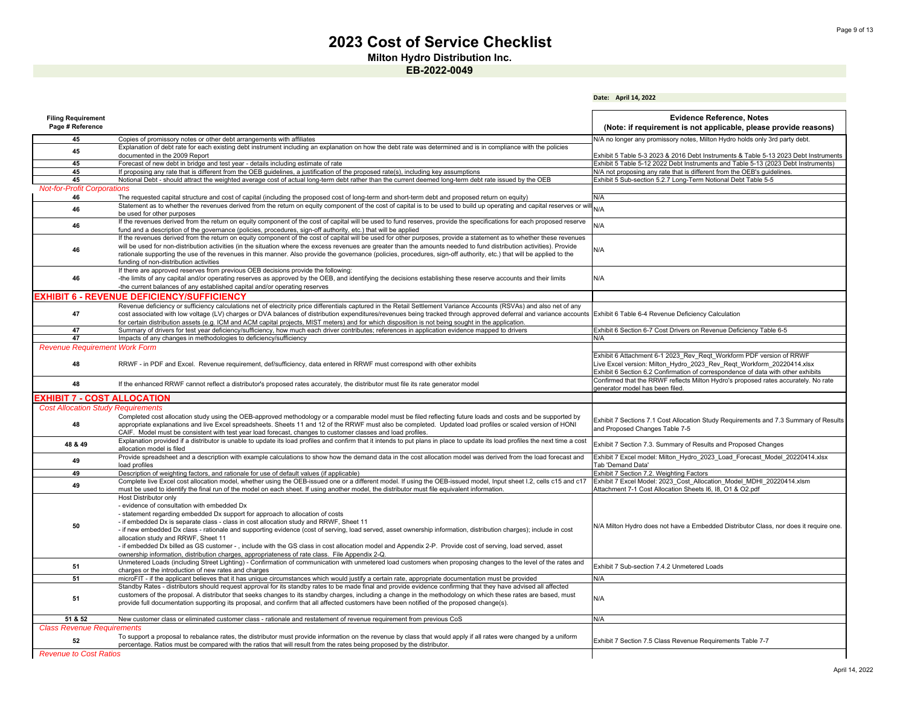**Milton Hydro Distribution Inc.**

**EB-2022-0049**

|                                               |                                                                                                                                                                                                                                                                                                                                                                                                                                                                                                                                                                                                                                                                                                                             | Date: April 14, 2022                                                                                                                                                                                                             |
|-----------------------------------------------|-----------------------------------------------------------------------------------------------------------------------------------------------------------------------------------------------------------------------------------------------------------------------------------------------------------------------------------------------------------------------------------------------------------------------------------------------------------------------------------------------------------------------------------------------------------------------------------------------------------------------------------------------------------------------------------------------------------------------------|----------------------------------------------------------------------------------------------------------------------------------------------------------------------------------------------------------------------------------|
| <b>Filing Requirement</b><br>Page # Reference |                                                                                                                                                                                                                                                                                                                                                                                                                                                                                                                                                                                                                                                                                                                             | <b>Evidence Reference, Notes</b><br>(Note: if requirement is not applicable, please provide reasons)                                                                                                                             |
| 45                                            | Copies of promissory notes or other debt arrangements with affiliates                                                                                                                                                                                                                                                                                                                                                                                                                                                                                                                                                                                                                                                       | N/A no longer any promissory notes, Milton Hydro holds only 3rd party debt.                                                                                                                                                      |
| 45                                            | Explanation of debt rate for each existing debt instrument including an explanation on how the debt rate was determined and is in compliance with the policies<br>documented in the 2009 Report                                                                                                                                                                                                                                                                                                                                                                                                                                                                                                                             | Exhibit 5 Table 5-3 2023 & 2016 Debt Instruments & Table 5-13 2023 Debt Instruments                                                                                                                                              |
| 45                                            | Forecast of new debt in bridge and test year - details including estimate of rate                                                                                                                                                                                                                                                                                                                                                                                                                                                                                                                                                                                                                                           | Exhibit 5 Table 5-12 2022 Debt Instruments and Table 5-13 (2023 Debt Instruments)                                                                                                                                                |
| 45                                            | If proposing any rate that is different from the OEB guidelines, a justification of the proposed rate(s), including key assumptions                                                                                                                                                                                                                                                                                                                                                                                                                                                                                                                                                                                         | N/A not proposing any rate that is different from the OEB's guidelines.                                                                                                                                                          |
| 45                                            | Notional Debt - should attract the weighted average cost of actual long-term debt rather than the current deemed long-term debt rate issued by the OEB                                                                                                                                                                                                                                                                                                                                                                                                                                                                                                                                                                      | Exhibit 5 Sub-section 5.2.7 Long-Term Notional Debt Table 5-5                                                                                                                                                                    |
| <b>Not-for-Profit Corporations</b>            |                                                                                                                                                                                                                                                                                                                                                                                                                                                                                                                                                                                                                                                                                                                             |                                                                                                                                                                                                                                  |
| 46                                            | The requested capital structure and cost of capital (including the proposed cost of long-term and short-term debt and proposed return on equity)                                                                                                                                                                                                                                                                                                                                                                                                                                                                                                                                                                            | N/A                                                                                                                                                                                                                              |
| 46                                            | Statement as to whether the revenues derived from the return on equity component of the cost of capital is to be used to build up operating and capital reserves or wi<br>be used for other purposes                                                                                                                                                                                                                                                                                                                                                                                                                                                                                                                        | N/A                                                                                                                                                                                                                              |
| 46                                            | If the revenues derived from the return on equity component of the cost of capital will be used to fund reserves, provide the specifications for each proposed reserve<br>fund and a description of the governance (policies, procedures, sign-off authority, etc.) that will be applied                                                                                                                                                                                                                                                                                                                                                                                                                                    | N/A                                                                                                                                                                                                                              |
| 46                                            | If the revenues derived from the return on equity component of the cost of capital will be used for other purposes, provide a statement as to whether these revenues<br>will be used for non-distribution activities (in the situation where the excess revenues are greater than the amounts needed to fund distribution activities). Provide<br>rationale supporting the use of the revenues in this manner. Also provide the governance (policies, procedures, sign-off authority, etc.) that will be applied to the<br>funding of non-distribution activities                                                                                                                                                           | N/A                                                                                                                                                                                                                              |
| 46                                            | If there are approved reserves from previous OEB decisions provide the following:<br>-the limits of any capital and/or operating reserves as approved by the OEB, and identifying the decisions establishing these reserve accounts and their limits<br>-the current balances of any established capital and/or operating reserves                                                                                                                                                                                                                                                                                                                                                                                          | N/A                                                                                                                                                                                                                              |
|                                               | <b>EXHIBIT 6 - REVENUE DEFICIENCY/SUFFICIENCY</b>                                                                                                                                                                                                                                                                                                                                                                                                                                                                                                                                                                                                                                                                           |                                                                                                                                                                                                                                  |
| 47                                            | Revenue deficiency or sufficiency calculations net of electricity price differentials captured in the Retail Settlement Variance Accounts (RSVAs) and also net of any<br>cost associated with low voltage (LV) charges or DVA balances of distribution expenditures/revenues being tracked through approved deferral and variance accounts Exhibit 6 Table 6-4 Revenue Deficiency Calculation<br>for certain distribution assets (e.g. ICM and ACM capital projects, MIST meters) and for which disposition is not being sought in the application.                                                                                                                                                                         |                                                                                                                                                                                                                                  |
| 47                                            | Summary of drivers for test year deficiency/sufficiency, how much each driver contributes; references in application evidence mapped to drivers                                                                                                                                                                                                                                                                                                                                                                                                                                                                                                                                                                             | Exhibit 6 Section 6-7 Cost Drivers on Revenue Deficiency Table 6-5                                                                                                                                                               |
| 47                                            | Impacts of any changes in methodologies to deficiency/sufficiency                                                                                                                                                                                                                                                                                                                                                                                                                                                                                                                                                                                                                                                           | N/A                                                                                                                                                                                                                              |
| <b>Revenue Requirement Work Form</b><br>48    | RRWF - in PDF and Excel. Revenue requirement, def/sufficiency, data entered in RRWF must correspond with other exhibits                                                                                                                                                                                                                                                                                                                                                                                                                                                                                                                                                                                                     | Exhibit 6 Attachment 6-1 2023 Rev Reqt Workform PDF version of RRWF<br>Live Excel version: Milton Hydro 2023 Rev Reqt Workform 20220414.xlsx<br>Exhibit 6 Section 6.2 Confirmation of correspondence of data with other exhibits |
| 48                                            | If the enhanced RRWF cannot reflect a distributor's proposed rates accurately, the distributor must file its rate generator model                                                                                                                                                                                                                                                                                                                                                                                                                                                                                                                                                                                           | Confirmed that the RRWF reflects Milton Hydro's proposed rates accurately. No rate<br>generator model has been filed.                                                                                                            |
| <b>EXHIBIT 7 - COST ALLOCATION:</b>           |                                                                                                                                                                                                                                                                                                                                                                                                                                                                                                                                                                                                                                                                                                                             |                                                                                                                                                                                                                                  |
| <b>Cost Allocation Study Requirements</b>     |                                                                                                                                                                                                                                                                                                                                                                                                                                                                                                                                                                                                                                                                                                                             |                                                                                                                                                                                                                                  |
| 48                                            | Completed cost allocation study using the OEB-approved methodology or a comparable model must be filed reflecting future loads and costs and be supported by<br>appropriate explanations and live Excel spreadsheets. Sheets 11 and 12 of the RRWF must also be completed. Updated load profiles or scaled version of HONI<br>CAIF. Model must be consistent with test year load forecast, changes to customer classes and load profiles.                                                                                                                                                                                                                                                                                   | Exhibit 7 Sections 7.1 Cost Allocation Study Requirements and 7.3 Summary of Results<br>and Proposed Changes Table 7-5                                                                                                           |
| 48 & 49                                       | Explanation provided if a distributor is unable to update its load profiles and confirm that it intends to put plans in place to update its load profiles the next time a cost<br>allocation model is filed                                                                                                                                                                                                                                                                                                                                                                                                                                                                                                                 | Exhibit 7 Section 7.3. Summary of Results and Proposed Changes                                                                                                                                                                   |
| 49                                            | Provide spreadsheet and a description with example calculations to show how the demand data in the cost allocation model was derived from the load forecast and<br>load profiles                                                                                                                                                                                                                                                                                                                                                                                                                                                                                                                                            | Exhibit 7 Excel model: Milton Hydro 2023 Load Forecast Model 20220414.xlsx<br><b>Tab 'Demand Data'</b>                                                                                                                           |
| 49                                            | Description of weighting factors, and rationale for use of default values (if applicable)                                                                                                                                                                                                                                                                                                                                                                                                                                                                                                                                                                                                                                   | Exhibit 7 Section 7.2. Weighting Factors                                                                                                                                                                                         |
| 49                                            | Complete live Excel cost allocation model, whether using the OEB-issued one or a different model. If using the OEB-issued model, Input sheet I.2, cells c15 and c17<br>must be used to identify the final run of the model on each sheet. If using another model, the distributor must file equivalent information.                                                                                                                                                                                                                                                                                                                                                                                                         | Exhibit 7 Excel Model: 2023 Cost Allocation Model MDHI 20220414.xlsm<br>Attachment 7-1 Cost Allocation Sheets I6, I8, O1 & O2.pdf                                                                                                |
| 50                                            | Host Distributor only<br>- evidence of consultation with embedded Dx<br>- statement regarding embedded Dx support for approach to allocation of costs<br>- if embedded Dx is separate class - class in cost allocation study and RRWF, Sheet 11<br>- if new embedded Dx class - rationale and supporting evidence (cost of serving, load served, asset ownership information, distribution charges); include in cost<br>allocation study and RRWF, Sheet 11<br>- if embedded Dx billed as GS customer -, include with the GS class in cost allocation model and Appendix 2-P. Provide cost of serving, load served, asset<br>ownership information, distribution charges, appropriateness of rate class. File Appendix 2-Q. | N/A Milton Hydro does not have a Embedded Distributor Class, nor does it require one.                                                                                                                                            |
| 51                                            | Unmetered Loads (including Street Lighting) - Confirmation of communication with unmetered load customers when proposing changes to the level of the rates and<br>charges or the introduction of new rates and charges                                                                                                                                                                                                                                                                                                                                                                                                                                                                                                      | Exhibit 7 Sub-section 7.4.2 Unmetered Loads                                                                                                                                                                                      |
| 51                                            | microFIT - if the applicant believes that it has unique circumstances which would justify a certain rate, appropriate documentation must be provided                                                                                                                                                                                                                                                                                                                                                                                                                                                                                                                                                                        | N/A                                                                                                                                                                                                                              |
| 51                                            | Standby Rates - distributors should request approval for its standby rates to be made final and provide evidence confirming that they have advised all affected<br>customers of the proposal. A distributor that seeks changes to its standby charges, including a change in the methodology on which these rates are based, must<br>provide full documentation supporting its proposal, and confirm that all affected customers have been notified of the proposed change(s).                                                                                                                                                                                                                                              | N/A                                                                                                                                                                                                                              |
| 51 & 52                                       | New customer class or eliminated customer class - rationale and restatement of revenue requirement from previous CoS                                                                                                                                                                                                                                                                                                                                                                                                                                                                                                                                                                                                        | N/A                                                                                                                                                                                                                              |
| <b>Class Revenue Requirements</b>             | To support a proposal to rebalance rates, the distributor must provide information on the revenue by class that would apply if all rates were changed by a uniform                                                                                                                                                                                                                                                                                                                                                                                                                                                                                                                                                          |                                                                                                                                                                                                                                  |
| 52                                            | percentage. Ratios must be compared with the ratios that will result from the rates being proposed by the distributor.                                                                                                                                                                                                                                                                                                                                                                                                                                                                                                                                                                                                      | Exhibit 7 Section 7.5 Class Revenue Requirements Table 7-7                                                                                                                                                                       |
| <b>Revenue to Cost Ratios</b>                 |                                                                                                                                                                                                                                                                                                                                                                                                                                                                                                                                                                                                                                                                                                                             |                                                                                                                                                                                                                                  |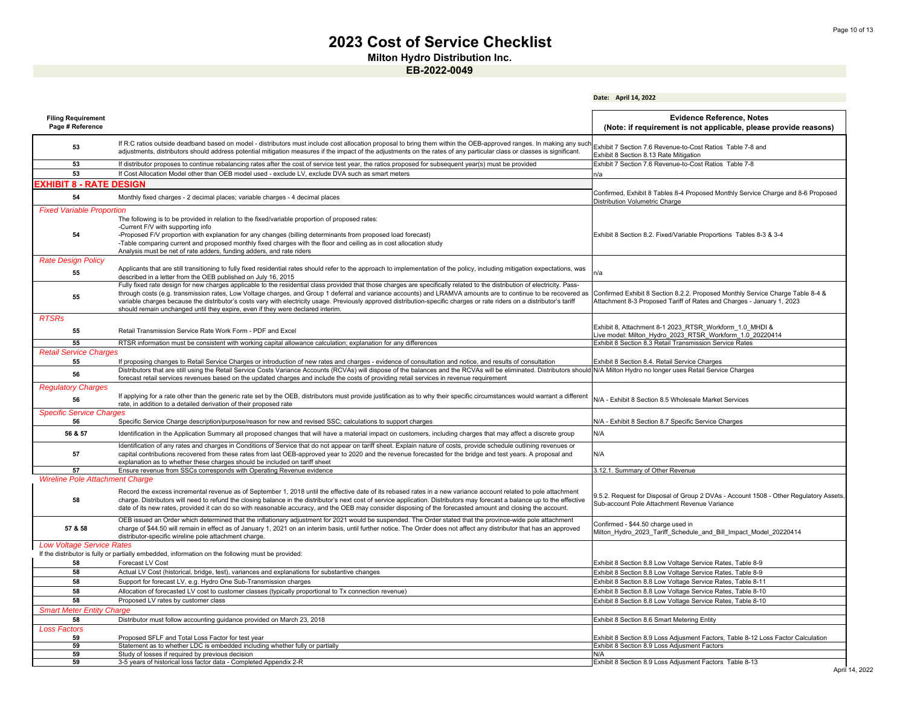**Milton Hydro Distribution Inc.**

|                                               |                                                                                                                                                                                                                                                                                                                                                                                                | Date: April 14, 2022                                                                                                                  |
|-----------------------------------------------|------------------------------------------------------------------------------------------------------------------------------------------------------------------------------------------------------------------------------------------------------------------------------------------------------------------------------------------------------------------------------------------------|---------------------------------------------------------------------------------------------------------------------------------------|
| <b>Filing Requirement</b><br>Page # Reference |                                                                                                                                                                                                                                                                                                                                                                                                | <b>Evidence Reference, Notes</b><br>(Note: if requirement is not applicable, please provide reasons)                                  |
| 53                                            | If R:C ratios outside deadband based on model - distributors must include cost allocation proposal to bring them within the OEB-approved ranges. In making any such<br>adjustments, distributors should address potential mitigation measures if the impact of the adjustments on the rates of any particular class or classes is significant.                                                 | Exhibit 7 Section 7.6 Revenue-to-Cost Ratios Table 7-8 and<br>Exhibit 8 Section 8.13 Rate Mitigation                                  |
| 53                                            | If distributor proposes to continue rebalancing rates after the cost of service test year, the ratios proposed for subsequent year(s) must be provided                                                                                                                                                                                                                                         | Exhibit 7 Section 7.6 Revenue-to-Cost Ratios Table 7-8                                                                                |
| 53                                            | If Cost Allocation Model other than OEB model used - exclude LV, exclude DVA such as smart meters                                                                                                                                                                                                                                                                                              | n/a                                                                                                                                   |
| <b>XHIBIT 8 - RATE DESIGN</b>                 |                                                                                                                                                                                                                                                                                                                                                                                                |                                                                                                                                       |
| 54                                            | Monthly fixed charges - 2 decimal places; variable charges - 4 decimal places                                                                                                                                                                                                                                                                                                                  | Confirmed, Exhibit 8 Tables 8-4 Proposed Monthly Service Charge and 8-6 Proposed<br>Distribution Volumetric Charge                    |
| <b>Fixed Variable Proportion</b>              |                                                                                                                                                                                                                                                                                                                                                                                                |                                                                                                                                       |
|                                               | The following is to be provided in relation to the fixed/variable proportion of proposed rates:                                                                                                                                                                                                                                                                                                |                                                                                                                                       |
|                                               | -Current F/V with supporting info                                                                                                                                                                                                                                                                                                                                                              |                                                                                                                                       |
| 54                                            | -Proposed F/V proportion with explanation for any changes (billing determinants from proposed load forecast)                                                                                                                                                                                                                                                                                   | Exhibit 8 Section 8.2. Fixed/Variable Proportions Tables 8-3 & 3-4                                                                    |
|                                               | -Table comparing current and proposed monthly fixed charges with the floor and ceiling as in cost allocation study                                                                                                                                                                                                                                                                             |                                                                                                                                       |
|                                               | Analysis must be net of rate adders, funding adders, and rate riders                                                                                                                                                                                                                                                                                                                           |                                                                                                                                       |
| <b>Rate Design Policy</b>                     |                                                                                                                                                                                                                                                                                                                                                                                                |                                                                                                                                       |
| 55                                            | Applicants that are still transitioning to fully fixed residential rates should refer to the approach to implementation of the policy, including mitigation expectations, was<br>described in a letter from the OEB published on July 16, 2015                                                                                                                                                 | n/a                                                                                                                                   |
|                                               | Fully fixed rate design for new charges applicable to the residential class provided that those charges are specifically related to the distribution of electricity. Pass-                                                                                                                                                                                                                     |                                                                                                                                       |
| 55                                            | through costs (e.g. transmission rates, Low Voltage charges, and Group 1 deferral and variance accounts) and LRAMVA amounts are to continue to be recovered as                                                                                                                                                                                                                                 | Confirmed Exhibit 8 Section 8.2.2. Proposed Monthly Service Charge Table 8-4 &                                                        |
|                                               | variable charges because the distributor's costs vary with electricity usage. Previously approved distribution-specific charges or rate riders on a distributor's tariff                                                                                                                                                                                                                       | Attachment 8-3 Proposed Tariff of Rates and Charges - January 1, 2023                                                                 |
|                                               | should remain unchanged until they expire, even if they were declared interim.                                                                                                                                                                                                                                                                                                                 |                                                                                                                                       |
| <b>RTSRs</b>                                  |                                                                                                                                                                                                                                                                                                                                                                                                |                                                                                                                                       |
| 55                                            | Retail Transmission Service Rate Work Form - PDF and Excel                                                                                                                                                                                                                                                                                                                                     | Exhibit 8, Attachment 8-1 2023_RTSR_Workform_1.0_MHDI &                                                                               |
|                                               |                                                                                                                                                                                                                                                                                                                                                                                                | Live model: Milton Hydro 2023 RTSR Workform 1.0 20220414                                                                              |
| 55                                            | RTSR information must be consistent with working capital allowance calculation; explanation for any differences                                                                                                                                                                                                                                                                                | Exhibit 8 Section 8.3 Retail Transmission Service Rates                                                                               |
| <b>Retail Service Charges</b>                 |                                                                                                                                                                                                                                                                                                                                                                                                |                                                                                                                                       |
| 55                                            | If proposing changes to Retail Service Charges or introduction of new rates and charges - evidence of consultation and notice, and results of consultation                                                                                                                                                                                                                                     | Exhibit 8 Section 8.4. Retail Service Charges                                                                                         |
| 56                                            | Distributors that are still using the Retail Service Costs Variance Accounts (RCVAs) will dispose of the balances and the RCVAs will be eliminated. Distributors should N/A Milton Hydro no longer uses Retail Service Charges                                                                                                                                                                 |                                                                                                                                       |
|                                               | forecast retail services revenues based on the updated charges and include the costs of providing retail services in revenue requirement                                                                                                                                                                                                                                                       |                                                                                                                                       |
| <b>Regulatory Charges</b>                     |                                                                                                                                                                                                                                                                                                                                                                                                |                                                                                                                                       |
| 56                                            | If applying for a rate other than the generic rate set by the OEB, distributors must provide justification as to why their specific circumstances would warrant a different                                                                                                                                                                                                                    | N/A - Exhibit 8 Section 8.5 Wholesale Market Services                                                                                 |
|                                               | rate, in addition to a detailed derivation of their proposed rate                                                                                                                                                                                                                                                                                                                              |                                                                                                                                       |
| <b>Specific Service Charges</b>               |                                                                                                                                                                                                                                                                                                                                                                                                |                                                                                                                                       |
| 56                                            | Specific Service Charge description/purpose/reason for new and revised SSC; calculations to support charges                                                                                                                                                                                                                                                                                    | N/A - Exhibit 8 Section 8.7 Specific Service Charges                                                                                  |
| 56 & 57                                       | Identification in the Application Summary all proposed changes that will have a material impact on customers, including charges that may affect a discrete group                                                                                                                                                                                                                               | N/A                                                                                                                                   |
| 57                                            | Identification of any rates and charges in Conditions of Service that do not appear on tariff sheet. Explain nature of costs, provide schedule outlining revenues or<br>capital contributions recovered from these rates from last OEB-approved year to 2020 and the revenue forecasted for the bridge and test years. A proposal and                                                          | N/A                                                                                                                                   |
|                                               | explanation as to whether these charges should be included on tariff sheet                                                                                                                                                                                                                                                                                                                     |                                                                                                                                       |
| 57                                            | Ensure revenue from SSCs corresponds with Operating Revenue evidence                                                                                                                                                                                                                                                                                                                           | 3.12.1. Summary of Other Revenue                                                                                                      |
| <b>Wireline Pole Attachment Charge</b>        |                                                                                                                                                                                                                                                                                                                                                                                                |                                                                                                                                       |
|                                               | Record the excess incremental revenue as of September 1, 2018 until the effective date of its rebased rates in a new variance account related to pole attachment                                                                                                                                                                                                                               |                                                                                                                                       |
| 58                                            | charge. Distributors will need to refund the closing balance in the distributor's next cost of service application. Distributors may forecast a balance up to the effective<br>date of its new rates, provided it can do so with reasonable accuracy, and the OEB may consider disposing of the forecasted amount and closing the account.                                                     | 9.5.2. Request for Disposal of Group 2 DVAs - Account 1508 - Other Regulatory Assets,<br>Sub-account Pole Attachment Revenue Variance |
| 57 & 58                                       | OEB issued an Order which determined that the inflationary adjustment for 2021 would be suspended. The Order stated that the province-wide pole attachment<br>charge of \$44.50 will remain in effect as of January 1, 2021 on an interim basis, until further notice. The Order does not affect any distributor that has an approved<br>distributor-specific wireline pole attachment charge. | Confirmed - \$44.50 charge used in<br>Milton Hydro 2023 Tariff Schedule and Bill Impact Model 20220414                                |
| <b>Low Voltage Service Rates</b>              |                                                                                                                                                                                                                                                                                                                                                                                                |                                                                                                                                       |
|                                               | If the distributor is fully or partially embedded, information on the following must be provided:                                                                                                                                                                                                                                                                                              |                                                                                                                                       |
| 58                                            | Forecast LV Cost                                                                                                                                                                                                                                                                                                                                                                               | Exhibit 8 Section 8.8 Low Voltage Service Rates, Table 8-9                                                                            |
| 58                                            | Actual LV Cost (historical, bridge, test), variances and explanations for substantive changes                                                                                                                                                                                                                                                                                                  | Exhibit 8 Section 8.8 Low Voltage Service Rates, Table 8-9                                                                            |
| 58                                            | Support for forecast LV, e.g. Hydro One Sub-Transmission charges                                                                                                                                                                                                                                                                                                                               | Exhibit 8 Section 8.8 Low Voltage Service Rates, Table 8-11                                                                           |
| 58                                            | Allocation of forecasted LV cost to customer classes (typically proportional to Tx connection revenue)                                                                                                                                                                                                                                                                                         | Exhibit 8 Section 8.8 Low Voltage Service Rates, Table 8-10                                                                           |
| 58                                            | Proposed LV rates by customer class                                                                                                                                                                                                                                                                                                                                                            | Exhibit 8 Section 8.8 Low Voltage Service Rates, Table 8-10                                                                           |
| <b>Smart Meter Entity Charge</b>              |                                                                                                                                                                                                                                                                                                                                                                                                |                                                                                                                                       |
| 58                                            | Distributor must follow accounting guidance provided on March 23, 2018                                                                                                                                                                                                                                                                                                                         | Exhibit 8 Section 8.6 Smart Metering Entity                                                                                           |
| <b>Loss Factors</b>                           |                                                                                                                                                                                                                                                                                                                                                                                                |                                                                                                                                       |
| 59                                            | Proposed SFLF and Total Loss Factor for test year                                                                                                                                                                                                                                                                                                                                              | Exhibit 8 Section 8.9 Loss Adjusment Factors, Table 8-12 Loss Factor Calculation                                                      |
| 59                                            | Statement as to whether LDC is embedded including whether fully or partially                                                                                                                                                                                                                                                                                                                   | Exhibit 8 Section 8.9 Loss Adjusment Factors                                                                                          |
| 59                                            | Study of losses if required by previous decision                                                                                                                                                                                                                                                                                                                                               | N/A                                                                                                                                   |
| 59                                            | 3-5 years of historical loss factor data - Completed Appendix 2-R                                                                                                                                                                                                                                                                                                                              | Exhibit 8 Section 8.9 Loss Adjusment Factors Table 8-13                                                                               |
|                                               |                                                                                                                                                                                                                                                                                                                                                                                                |                                                                                                                                       |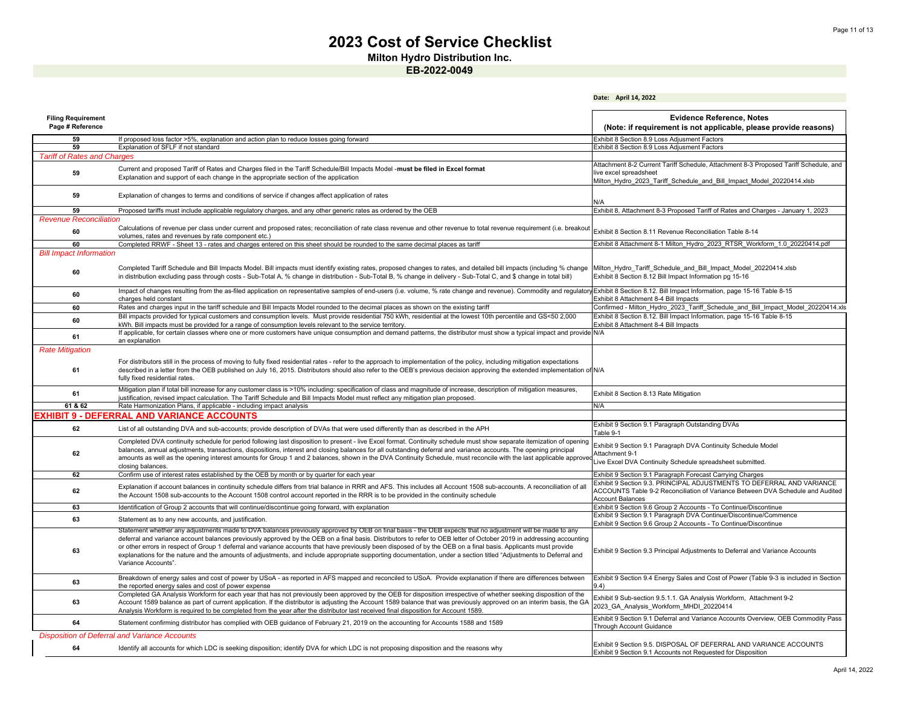**Milton Hydro Distribution Inc.**

|                                               |                                                                                                                                                                                                                                                                                                                                                                                                                                                                                                                                                                                                                                                                                                  | Date: April 14, 2022                                                                                                                                                               |
|-----------------------------------------------|--------------------------------------------------------------------------------------------------------------------------------------------------------------------------------------------------------------------------------------------------------------------------------------------------------------------------------------------------------------------------------------------------------------------------------------------------------------------------------------------------------------------------------------------------------------------------------------------------------------------------------------------------------------------------------------------------|------------------------------------------------------------------------------------------------------------------------------------------------------------------------------------|
| <b>Filing Requirement</b><br>Page # Reference |                                                                                                                                                                                                                                                                                                                                                                                                                                                                                                                                                                                                                                                                                                  | <b>Evidence Reference, Notes</b><br>(Note: if requirement is not applicable, please provide reasons)                                                                               |
| 59                                            | If proposed loss factor >5%, explanation and action plan to reduce losses going forward                                                                                                                                                                                                                                                                                                                                                                                                                                                                                                                                                                                                          | Exhibit 8 Section 8.9 Loss Adiusment Factors                                                                                                                                       |
| 59                                            | Explanation of SFLF if not standard                                                                                                                                                                                                                                                                                                                                                                                                                                                                                                                                                                                                                                                              | Exhibit 8 Section 8.9 Loss Adjusment Factors                                                                                                                                       |
| <b>Tariff of Rates and Charges</b>            |                                                                                                                                                                                                                                                                                                                                                                                                                                                                                                                                                                                                                                                                                                  | Attachment 8-2 Current Tariff Schedule, Attachment 8-3 Proposed Tariff Schedule, and                                                                                               |
| 59                                            | Current and proposed Tariff of Rates and Charges filed in the Tariff Schedule/Bill Impacts Model - must be filed in Excel format<br>Explanation and support of each change in the appropriate section of the application                                                                                                                                                                                                                                                                                                                                                                                                                                                                         | live excel spreadsheet<br>Milton Hydro 2023 Tariff Schedule and Bill Impact Model 20220414.xlsb                                                                                    |
| 59                                            | Explanation of changes to terms and conditions of service if changes affect application of rates                                                                                                                                                                                                                                                                                                                                                                                                                                                                                                                                                                                                 | N/A                                                                                                                                                                                |
| 59                                            | Proposed tariffs must include applicable regulatory charges, and any other generic rates as ordered by the OEB                                                                                                                                                                                                                                                                                                                                                                                                                                                                                                                                                                                   | Exhibit 8, Attachment 8-3 Proposed Tariff of Rates and Charges - January 1, 2023                                                                                                   |
| <b>Revenue Reconciliation</b>                 |                                                                                                                                                                                                                                                                                                                                                                                                                                                                                                                                                                                                                                                                                                  |                                                                                                                                                                                    |
| 60                                            | Calculations of revenue per class under current and proposed rates; reconciliation of rate class revenue and other revenue to total revenue requirement (i.e. breakout<br>volumes, rates and revenues by rate component etc.)                                                                                                                                                                                                                                                                                                                                                                                                                                                                    | Exhibit 8 Section 8.11 Revenue Reconciliation Table 8-14                                                                                                                           |
| 60                                            | Completed RRWF - Sheet 13 - rates and charges entered on this sheet should be rounded to the same decimal places as tariff                                                                                                                                                                                                                                                                                                                                                                                                                                                                                                                                                                       | Exhibit 8 Attachment 8-1 Milton Hydro 2023 RTSR Workform 1.0 20220414.pdf                                                                                                          |
| <b>Bill Impact Information</b><br>60          | Completed Tariff Schedule and Bill Impacts Model. Bill impacts must identify existing rates, proposed changes to rates, and detailed bill impacts (including % change<br>in distribution excluding pass through costs - Sub-Total A, % change in distribution - Sub-Total B, % change in delivery - Sub-Total C, and \$ change in total bill)                                                                                                                                                                                                                                                                                                                                                    | Milton Hydro Tariff Schedule and Bill Impact Model 20220414.xlsb<br>Exhibit 8 Section 8.12 Bill Impact Information pg 15-16                                                        |
| 60                                            | Impact of changes resulting from the as-filed application on representative samples of end-users (i.e. volume, % rate change and revenue). Commodity and regulatory Exhibit 8 Section 8.12. Bill Impact Information, page 15-1<br>charges held constant                                                                                                                                                                                                                                                                                                                                                                                                                                          | Exhibit 8 Attachment 8-4 Bill Impacts                                                                                                                                              |
| 60                                            | Rates and charges input in the tariff schedule and Bill Impacts Model rounded to the decimal places as shown on the existing tariff                                                                                                                                                                                                                                                                                                                                                                                                                                                                                                                                                              | Confirmed - Milton Hydro 2023 Tariff Schedule and Bill Impact Model 20220414.xls                                                                                                   |
| 60                                            | Bill impacts provided for typical customers and consumption levels. Must provide residential 750 kWh, residential at the lowest 10th percentile and GS<50 2,000<br>kWh. Bill impacts must be provided for a range of consumption levels relevant to the service territory.                                                                                                                                                                                                                                                                                                                                                                                                                       | Exhibit 8 Section 8.12. Bill Impact Information, page 15-16 Table 8-15<br>Exhibit 8 Attachment 8-4 Bill Impacts                                                                    |
| 61                                            | If applicable, for certain classes where one or more customers have unique consumption and demand patterns, the distributor must show a typical impact and provide<br>an explanation                                                                                                                                                                                                                                                                                                                                                                                                                                                                                                             | N/A                                                                                                                                                                                |
| <b>Rate Mitigation</b>                        |                                                                                                                                                                                                                                                                                                                                                                                                                                                                                                                                                                                                                                                                                                  |                                                                                                                                                                                    |
| 61                                            | For distributors still in the process of moving to fully fixed residential rates - refer to the approach to implementation of the policy, including mitigation expectations<br>described in a letter from the OEB published on July 16, 2015. Distributors should also refer to the OEB's previous decision approving the extended implementation of N/A<br>fully fixed residential rates.                                                                                                                                                                                                                                                                                                       |                                                                                                                                                                                    |
| 61                                            | Mitigation plan if total bill increase for any customer class is >10% including: specification of class and magnitude of increase, description of mitigation measures,<br>justification, revised impact calculation. The Tariff Schedule and Bill Impacts Model must reflect any mitigation plan proposed.                                                                                                                                                                                                                                                                                                                                                                                       | Exhibit 8 Section 8.13 Rate Mitigation                                                                                                                                             |
| 61 & 62                                       | Rate Harmonization Plans, if applicable - including impact analysis                                                                                                                                                                                                                                                                                                                                                                                                                                                                                                                                                                                                                              | N/A                                                                                                                                                                                |
|                                               | EXHIBIT 9 - DEFERRAL AND VARIANCE ACCOUNTS                                                                                                                                                                                                                                                                                                                                                                                                                                                                                                                                                                                                                                                       |                                                                                                                                                                                    |
| 62                                            | List of all outstanding DVA and sub-accounts; provide description of DVAs that were used differently than as described in the APH                                                                                                                                                                                                                                                                                                                                                                                                                                                                                                                                                                | Exhibit 9 Section 9.1 Paragraph Outstanding DVAs<br>Table 9-1                                                                                                                      |
| 62                                            | Completed DVA continuity schedule for period following last disposition to present - live Excel format. Continuity schedule must show separate itemization of opening<br>balances, annual adjustments, transactions, dispositions, interest and closing balances for all outstanding deferral and variance accounts. The opening principal<br>amounts as well as the opening interest amounts for Group 1 and 2 balances, shown in the DVA Continuity Schedule, must reconcile with the last applicable approve<br>closing balances.                                                                                                                                                             | Exhibit 9 Section 9.1 Paragraph DVA Continuity Schedule Model<br>Attachment 9-1<br>Live Excel DVA Continuity Schedule spreadsheet submitted.                                       |
| 62                                            | Confirm use of interest rates established by the OEB by month or by quarter for each year                                                                                                                                                                                                                                                                                                                                                                                                                                                                                                                                                                                                        | Exhibit 9 Section 9.1 Paragraph Forecast Carrying Charges                                                                                                                          |
| 62                                            | Explanation if account balances in continuity schedule differs from trial balance in RRR and AFS. This includes all Account 1508 sub-accounts. A reconciliation of all<br>the Account 1508 sub-accounts to the Account 1508 control account reported in the RRR is to be provided in the continuity schedule                                                                                                                                                                                                                                                                                                                                                                                     | Exhibit 9 Section 9.3, PRINCIPAL ADJUSTMENTS TO DEFERRAL AND VARIANCE<br>ACCOUNTS Table 9-2 Reconciliation of Variance Between DVA Schedule and Audited<br><b>Account Balances</b> |
| 63                                            | Identification of Group 2 accounts that will continue/discontinue going forward, with explanation                                                                                                                                                                                                                                                                                                                                                                                                                                                                                                                                                                                                | Exhibit 9 Section 9.6 Group 2 Accounts - To Continue/Discontinue                                                                                                                   |
| 63                                            | Statement as to any new accounts, and justification.                                                                                                                                                                                                                                                                                                                                                                                                                                                                                                                                                                                                                                             | Exhibit 9 Section 9.1 Paragraph DVA Continue/Discontinue/Commence                                                                                                                  |
| 63                                            | Statement whether any adjustments made to DVA balances previously approved by OEB on final basis - the OEB expects that no adjustment will be made to any<br>deferral and variance account balances previously approved by the OEB on a final basis. Distributors to refer to OEB letter of October 2019 in addressing accounting<br>or other errors in respect of Group 1 deferral and variance accounts that have previously been disposed of by the OEB on a final basis. Applicants must provide<br>explanations for the nature and the amounts of adjustments, and include appropriate supporting documentation, under a section titled "Adjustments to Deferral and<br>Variance Accounts". | Exhibit 9 Section 9.6 Group 2 Accounts - To Continue/Discontinue<br>Exhibit 9 Section 9.3 Principal Adjustments to Deferral and Variance Accounts                                  |
| 63                                            | Breakdown of energy sales and cost of power by USoA - as reported in AFS mapped and reconciled to USoA. Provide explanation if there are differences between<br>the reported energy sales and cost of power expense                                                                                                                                                                                                                                                                                                                                                                                                                                                                              | Exhibit 9 Section 9.4 Energy Sales and Cost of Power (Table 9-3 is included in Section<br>9.4)                                                                                     |
| 63                                            | Completed GA Analysis Workform for each year that has not previously been approved by the OEB for disposition irrespective of whether seeking disposition of the<br>Account 1589 balance as part of current application. If the distributor is adjusting the Account 1589 balance that was previously approved on an interim basis, the GA<br>Analysis Workform is required to be completed from the year after the distributor last received final disposition for Account 1589.                                                                                                                                                                                                                | Exhibit 9 Sub-section 9.5.1.1. GA Analysis Workform, Attachment 9-2<br>2023 GA Analysis Workform MHDI 20220414                                                                     |
| 64                                            | Statement confirming distributor has complied with OEB guidance of February 21, 2019 on the accounting for Accounts 1588 and 1589                                                                                                                                                                                                                                                                                                                                                                                                                                                                                                                                                                | Exhibit 9 Section 9.1 Deferral and Variance Accounts Overview, OEB Commodity Pass<br>Through Account Guidance                                                                      |
| 64                                            | <b>Disposition of Deferral and Variance Accounts</b><br>Identify all accounts for which LDC is seeking disposition; identify DVA for which LDC is not proposing disposition and the reasons why                                                                                                                                                                                                                                                                                                                                                                                                                                                                                                  | Exhibit 9 Section 9.5. DISPOSAL OF DEFERRAL AND VARIANCE ACCOUNTS<br>Exhibit 9 Section 9.1 Accounts not Requested for Disposition                                                  |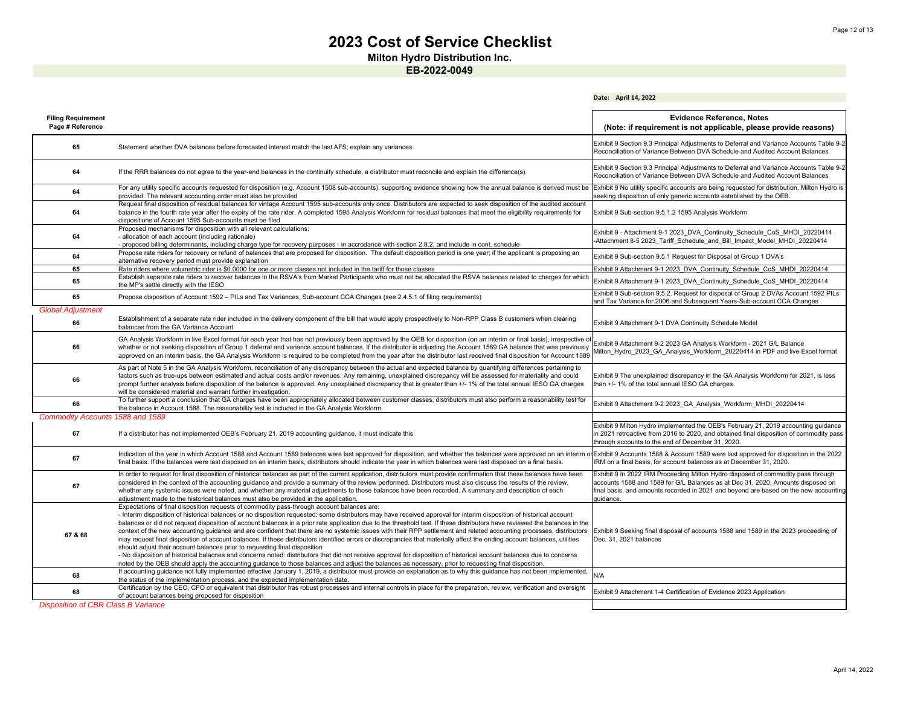**Milton Hydro Distribution Inc.**

|                                               |                                                                                                                                                                                                                                                                                                                                                                                                                                                                                                                                                                                                                                                                                                                                                                                                                                                                                                                                                                                                                                                                                                                                                                                                                     | Date: April 14, 2022                                                                                                                                                                                                                                                     |
|-----------------------------------------------|---------------------------------------------------------------------------------------------------------------------------------------------------------------------------------------------------------------------------------------------------------------------------------------------------------------------------------------------------------------------------------------------------------------------------------------------------------------------------------------------------------------------------------------------------------------------------------------------------------------------------------------------------------------------------------------------------------------------------------------------------------------------------------------------------------------------------------------------------------------------------------------------------------------------------------------------------------------------------------------------------------------------------------------------------------------------------------------------------------------------------------------------------------------------------------------------------------------------|--------------------------------------------------------------------------------------------------------------------------------------------------------------------------------------------------------------------------------------------------------------------------|
| <b>Filing Requirement</b><br>Page # Reference |                                                                                                                                                                                                                                                                                                                                                                                                                                                                                                                                                                                                                                                                                                                                                                                                                                                                                                                                                                                                                                                                                                                                                                                                                     | <b>Evidence Reference, Notes</b><br>(Note: if requirement is not applicable, please provide reasons)                                                                                                                                                                     |
| 65                                            | Statement whether DVA balances before forecasted interest match the last AFS; explain any variances                                                                                                                                                                                                                                                                                                                                                                                                                                                                                                                                                                                                                                                                                                                                                                                                                                                                                                                                                                                                                                                                                                                 | Exhibit 9 Section 9.3 Principal Adjustments to Deferral and Variance Accounts Table 9-2<br>Reconciliation of Variance Between DVA Schedule and Audited Account Balances                                                                                                  |
| 64                                            | If the RRR balances do not agree to the year-end balances in the continuity schedule, a distributor must reconcile and explain the difference(s).                                                                                                                                                                                                                                                                                                                                                                                                                                                                                                                                                                                                                                                                                                                                                                                                                                                                                                                                                                                                                                                                   | Exhibit 9 Section 9.3 Principal Adjustments to Deferral and Variance Accounts Table 9-2<br>Reconciliation of Variance Between DVA Schedule and Audited Account Balances                                                                                                  |
| 64                                            | For any utility specific accounts requested for disposition (e.g. Account 1508 sub-accounts), supporting evidence showing how the annual balance is derived must be<br>provided. The relevant accounting order must also be provided                                                                                                                                                                                                                                                                                                                                                                                                                                                                                                                                                                                                                                                                                                                                                                                                                                                                                                                                                                                | Exhibit 9 No utility specific accounts are being requested for distribution, Milton Hydro is<br>seeking disposition of only generic accounts established by the OEB.                                                                                                     |
| 64                                            | Request final disposition of residual balances for vintage Account 1595 sub-accounts only once. Distributors are expected to seek disposition of the audited account<br>balance in the fourth rate year after the expiry of the rate rider. A completed 1595 Analysis Workform for residual balances that meet the eligibility requirements for<br>dispositions of Account 1595 Sub-accounts must be filed                                                                                                                                                                                                                                                                                                                                                                                                                                                                                                                                                                                                                                                                                                                                                                                                          | Exhibit 9 Sub-section 9.5.1.2 1595 Analysis Workform                                                                                                                                                                                                                     |
| 64                                            | Proposed mechanisms for disposition with all relevant calculations:<br>- allocation of each account (including rationale)<br>- proposed billing determinants, including charge type for recovery purposes - in accrodance with section 2.8.2, and include in cont. schedule                                                                                                                                                                                                                                                                                                                                                                                                                                                                                                                                                                                                                                                                                                                                                                                                                                                                                                                                         | Exhibit 9 - Attachment 9-1 2023 DVA Continuity Schedule CoS MHDI 20220414<br>-Attachment 8-5 2023 Tariff Schedule and Bill Impact Model MHDI 20220414                                                                                                                    |
| 64                                            | Propose rate riders for recovery or refund of balances that are proposed for disposition. The default disposition period is one year; if the applicant is proposing an<br>alternative recovery period must provide explanation                                                                                                                                                                                                                                                                                                                                                                                                                                                                                                                                                                                                                                                                                                                                                                                                                                                                                                                                                                                      | Exhibit 9 Sub-section 9.5.1 Request for Disposal of Group 1 DVA's                                                                                                                                                                                                        |
| 65                                            | Rate riders where volumetric rider is \$0.0000 for one or more classes not included in the tariff for those classes                                                                                                                                                                                                                                                                                                                                                                                                                                                                                                                                                                                                                                                                                                                                                                                                                                                                                                                                                                                                                                                                                                 | Exhibit 9 Attachment 9-1 2023 DVA Continuity Schedule CoS MHDI 20220414                                                                                                                                                                                                  |
| 65                                            | Establish separate rate riders to recover balances in the RSVA's from Market Participants who must not be allocated the RSVA balances related to charges for which<br>the MP's settle directly with the IESO                                                                                                                                                                                                                                                                                                                                                                                                                                                                                                                                                                                                                                                                                                                                                                                                                                                                                                                                                                                                        | Exhibit 9 Attachment 9-1 2023 DVA Continuity Schedule CoS MHDI 20220414                                                                                                                                                                                                  |
| 65                                            | Propose disposition of Account 1592 - PILs and Tax Variances, Sub-account CCA Changes (see 2.4.5.1 of filing requirements)                                                                                                                                                                                                                                                                                                                                                                                                                                                                                                                                                                                                                                                                                                                                                                                                                                                                                                                                                                                                                                                                                          | Exhibit 9 Sub-section 9.5.2. Request for disposal of Group 2 DVAs Account 1592 PILs<br>and Tax Variance for 2006 and Subsequent Years-Sub-account CCA Changes                                                                                                            |
| <b>Global Adjustment</b>                      | Establishment of a separate rate rider included in the delivery component of the bill that would apply prospectively to Non-RPP Class B customers when clearing                                                                                                                                                                                                                                                                                                                                                                                                                                                                                                                                                                                                                                                                                                                                                                                                                                                                                                                                                                                                                                                     |                                                                                                                                                                                                                                                                          |
| 66                                            | balances from the GA Variance Account                                                                                                                                                                                                                                                                                                                                                                                                                                                                                                                                                                                                                                                                                                                                                                                                                                                                                                                                                                                                                                                                                                                                                                               | Exhibit 9 Attachment 9-1 DVA Continuity Schedule Model                                                                                                                                                                                                                   |
| 66                                            | GA Analysis Workform in live Excel format for each year that has not previously been approved by the OEB for disposition (on an interim or final basis), irrespective of<br>whether or not seeking disposition of Group 1 deferral and variance account balances. If the distributor is adjusting the Account 1589 GA balance that was previously<br>approved on an interim basis, the GA Analysis Workform is required to be completed from the year after the distributor last received final disposition for Account 1589                                                                                                                                                                                                                                                                                                                                                                                                                                                                                                                                                                                                                                                                                        | Exhibit 9 Attachment 9-2 2023 GA Analysis Workform - 2021 G/L Balance<br>Milton Hydro 2023 GA Analysis Workform 20220414 in PDF and live Excel format                                                                                                                    |
| 66                                            | As part of Note 5 in the GA Analysis Workform, reconciliation of any discrepancy between the actual and expected balance by quantifying differences pertaining to<br>factors such as true-ups between estimated and actual costs and/or revenues. Any remaining, unexplained discrepancy will be assessed for materiality and could<br>prompt further analysis before disposition of the balance is approved. Any unexplained discrepancy that is greater than +/-1% of the total annual IESO GA charges<br>will be considered material and warrant further investigation.                                                                                                                                                                                                                                                                                                                                                                                                                                                                                                                                                                                                                                          | Exhibit 9 The unexplained discrepancy in the GA Analysis Workform for 2021, is less<br>than +/- 1% of the total annual IESO GA charges.                                                                                                                                  |
| 66                                            | To further support a conclusion that GA charges have been appropriately allocated between customer classes, distributors must also perform a reasonability test for<br>the balance in Account 1588. The reasonability test is included in the GA Analysis Workform.                                                                                                                                                                                                                                                                                                                                                                                                                                                                                                                                                                                                                                                                                                                                                                                                                                                                                                                                                 | Exhibit 9 Attachment 9-2 2023 GA Analysis Workform MHDI 20220414                                                                                                                                                                                                         |
| Commodity Accounts 1588 and 1589              |                                                                                                                                                                                                                                                                                                                                                                                                                                                                                                                                                                                                                                                                                                                                                                                                                                                                                                                                                                                                                                                                                                                                                                                                                     |                                                                                                                                                                                                                                                                          |
| 67                                            | If a distributor has not implemented OEB's February 21, 2019 accounting guidance, it must indicate this                                                                                                                                                                                                                                                                                                                                                                                                                                                                                                                                                                                                                                                                                                                                                                                                                                                                                                                                                                                                                                                                                                             | Exhibit 9 Milton Hydro implemented the OEB's February 21, 2019 accounting guidance<br>in 2021 retroactive from 2016 to 2020, and obtained final disposition of commodity pass<br>through accounts to the end of December 31, 2020.                                       |
| 67                                            | Indication of the year in which Account 1588 and Account 1589 balances were last approved for disposition, and whether the balances were approved on an interim or<br>final basis. If the balances were last disposed on an interim basis, distributors should indicate the year in which balances were last disposed on a final basis.                                                                                                                                                                                                                                                                                                                                                                                                                                                                                                                                                                                                                                                                                                                                                                                                                                                                             | Exhibit 9 Accounts 1588 & Account 1589 were last approved for disposition in the 2022<br>IRM on a final basis, for account balances as at December 31, 2020.                                                                                                             |
| 67                                            | In order to request for final disposition of historical balances as part of the current application, distributors must provide confirmation that these balances have been<br>considered in the context of the accounting quidance and provide a summary of the review performed. Distributors must also discuss the results of the review,<br>whether any systemic issues were noted, and whether any material adjustments to those balances have been recorded. A summary and description of each<br>adjustment made to the historical balances must also be provided in the application.                                                                                                                                                                                                                                                                                                                                                                                                                                                                                                                                                                                                                          | Exhibit 9 In 2022 IRM Proceeding Milton Hydro disposed of commodity pass through<br>accounts 1588 and 1589 for G/L Balances as at Dec 31, 2020. Amounts disposed on<br>final basis, and amounts recorded in 2021 and beyond are based on the new accounting<br>auidance. |
| 67 & 68                                       | Expectations of final disposition requests of commodity pass-through account balances are:<br>- Interim disposition of historical balances or no disposition requested: some distributors may have received approval for interim disposition of historical account<br>balances or did not request disposition of account balances in a prior rate application due to the threshold test. If these distributors have reviewed the balances in the<br>context of the new accounting quidance and are confident that there are no systemic issues with their RPP settlement and related accounting processes, distributors<br>may request final disposition of account balances. If these distributors identified errors or discrepancies that materially affect the ending account balances, utilities<br>should adjust their account balances prior to requesting final disposition<br>- No disposition of historical balacnes and concerns noted: distributors that did not receive approval for disposition of historical account balances due to concerns<br>noted by the OEB should apply the accounting quidance to those balances and adjust the balances as necessary, prior to requesting final disposition. | Exhibit 9 Seeking final disposal of accounts 1588 and 1589 in the 2023 proceeding of<br>Dec. 31, 2021 balances                                                                                                                                                           |
| 68                                            | If accounting guidance not fully implemented effective January 1, 2019, a distributor must provide an explanation as to why this guidance has not been implemented,<br>the status of the implementation process, and the expected implementation date.                                                                                                                                                                                                                                                                                                                                                                                                                                                                                                                                                                                                                                                                                                                                                                                                                                                                                                                                                              | N/A                                                                                                                                                                                                                                                                      |
| 68                                            | Certification by the CEO, CFO or equivalent that distributor has robust processes and internal controls in place for the preparation, review, verification and oversight<br>of account balances being proposed for disposition                                                                                                                                                                                                                                                                                                                                                                                                                                                                                                                                                                                                                                                                                                                                                                                                                                                                                                                                                                                      | Exhibit 9 Attachment 1-4 Certification of Evidence 2023 Application                                                                                                                                                                                                      |
| <b>Disposition of CBR Class B Variance</b>    |                                                                                                                                                                                                                                                                                                                                                                                                                                                                                                                                                                                                                                                                                                                                                                                                                                                                                                                                                                                                                                                                                                                                                                                                                     |                                                                                                                                                                                                                                                                          |